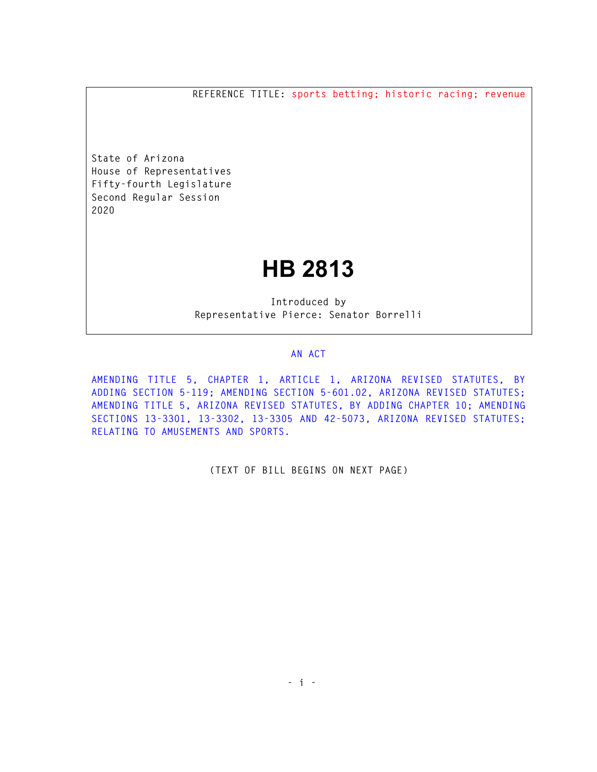**REFERENCE TITLE: sports betting; historic racing; revenue** 

**State of Arizona House of Representatives Fifty-fourth Legislature Second Regular Session 2020** 

# **HB 2813**

**Introduced by Representative Pierce: Senator Borrelli** 

## **AN ACT**

**AMENDING TITLE 5, CHAPTER 1, ARTICLE 1, ARIZONA REVISED STATUTES, BY ADDING SECTION 5-119; AMENDING SECTION 5-601.02, ARIZONA REVISED STATUTES; AMENDING TITLE 5, ARIZONA REVISED STATUTES, BY ADDING CHAPTER 10; AMENDING SECTIONS 13-3301, 13-3302, 13-3305 AND 42-5073, ARIZONA REVISED STATUTES; RELATING TO AMUSEMENTS AND SPORTS.** 

**(TEXT OF BILL BEGINS ON NEXT PAGE)**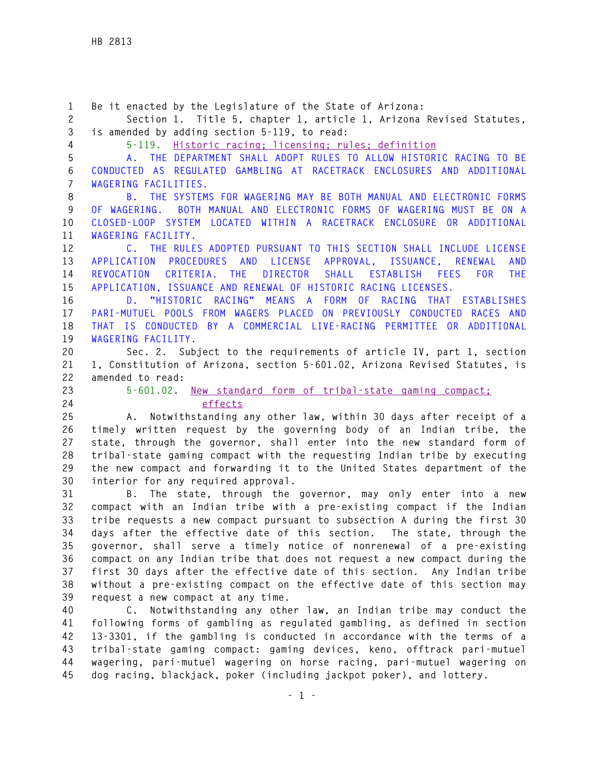**1 Be it enacted by the Legislature of the State of Arizona: 2 Section 1. Title 5, chapter 1, article 1, Arizona Revised Statutes, 3 is amended by adding section 5-119, to read: 4 5-119. Historic racing; licensing; rules; definition 5 A. THE DEPARTMENT SHALL ADOPT RULES TO ALLOW HISTORIC RACING TO BE 6 CONDUCTED AS REGULATED GAMBLING AT RACETRACK ENCLOSURES AND ADDITIONAL 7 WAGERING FACILITIES. 8 B. THE SYSTEMS FOR WAGERING MAY BE BOTH MANUAL AND ELECTRONIC FORMS 9 OF WAGERING. BOTH MANUAL AND ELECTRONIC FORMS OF WAGERING MUST BE ON A 10 CLOSED-LOOP SYSTEM LOCATED WITHIN A RACETRACK ENCLOSURE OR ADDITIONAL 11 WAGERING FACILITY. 12 C. THE RULES ADOPTED PURSUANT TO THIS SECTION SHALL INCLUDE LICENSE 13 APPLICATION PROCEDURES AND LICENSE APPROVAL, ISSUANCE, RENEWAL AND 14 REVOCATION CRITERIA. THE DIRECTOR SHALL ESTABLISH FEES FOR THE 15 APPLICATION, ISSUANCE AND RENEWAL OF HISTORIC RACING LICENSES. 16 D. "HISTORIC RACING" MEANS A FORM OF RACING THAT ESTABLISHES 17 PARI-MUTUEL POOLS FROM WAGERS PLACED ON PREVIOUSLY CONDUCTED RACES AND 18 THAT IS CONDUCTED BY A COMMERCIAL LIVE-RACING PERMITTEE OR ADDITIONAL 19 WAGERING FACILITY. 20 Sec. 2. Subject to the requirements of article IV, part 1, section 21 1, Constitution of Arizona, section 5-601.02, Arizona Revised Statutes, is 22 amended to read: 23 5-601.02. New standard form of tribal-state gaming compact; 24 effects 25 A. Notwithstanding any other law, within 30 days after receipt of a 26 timely written request by the governing body of an Indian tribe, the 27 state, through the governor, shall enter into the new standard form of 28 tribal-state gaming compact with the requesting Indian tribe by executing 29 the new compact and forwarding it to the United States department of the 30 interior for any required approval. 31 B. The state, through the governor, may only enter into a new 32 compact with an Indian tribe with a pre-existing compact if the Indian 33 tribe requests a new compact pursuant to subsection A during the first 30 34 days after the effective date of this section. The state, through the 35 governor, shall serve a timely notice of nonrenewal of a pre-existing 36 compact on any Indian tribe that does not request a new compact during the 37 first 30 days after the effective date of this section. Any Indian tribe 38 without a pre-existing compact on the effective date of this section may 39 request a new compact at any time. 40 C. Notwithstanding any other law, an Indian tribe may conduct the 41 following forms of gambling as regulated gambling, as defined in section 42 13-3301, if the gambling is conducted in accordance with the terms of a 43 tribal-state gaming compact: gaming devices, keno, offtrack pari-mutuel 44 wagering, pari-mutuel wagering on horse racing, pari-mutuel wagering on 45 dog racing, blackjack, poker (including jackpot poker), and lottery.**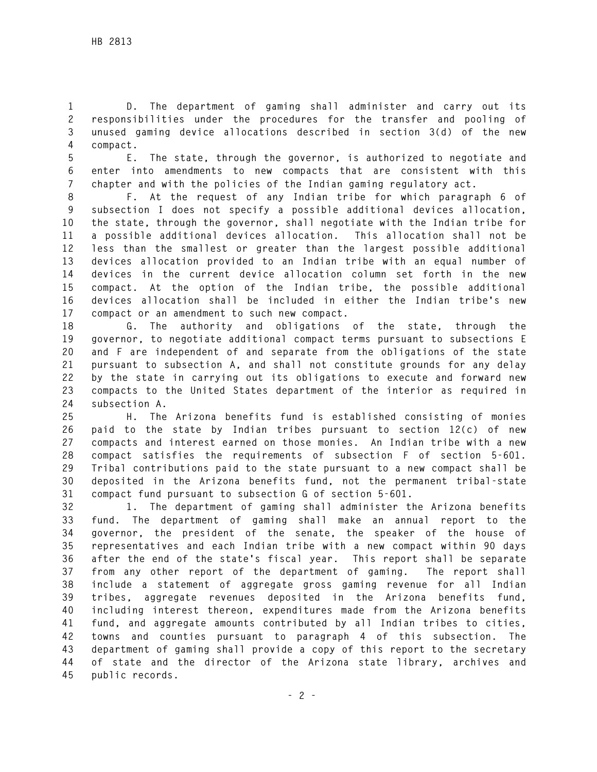**1 D. The department of gaming shall administer and carry out its 2 responsibilities under the procedures for the transfer and pooling of 3 unused gaming device allocations described in section 3(d) of the new 4 compact.** 

**5 E. The state, through the governor, is authorized to negotiate and 6 enter into amendments to new compacts that are consistent with this 7 chapter and with the policies of the Indian gaming regulatory act.** 

**8 F. At the request of any Indian tribe for which paragraph 6 of 9 subsection I does not specify a possible additional devices allocation, 10 the state, through the governor, shall negotiate with the Indian tribe for 11 a possible additional devices allocation. This allocation shall not be 12 less than the smallest or greater than the largest possible additional 13 devices allocation provided to an Indian tribe with an equal number of 14 devices in the current device allocation column set forth in the new 15 compact. At the option of the Indian tribe, the possible additional 16 devices allocation shall be included in either the Indian tribe's new 17 compact or an amendment to such new compact.** 

**18 G. The authority and obligations of the state, through the 19 governor, to negotiate additional compact terms pursuant to subsections E 20 and F are independent of and separate from the obligations of the state 21 pursuant to subsection A, and shall not constitute grounds for any delay 22 by the state in carrying out its obligations to execute and forward new 23 compacts to the United States department of the interior as required in 24 subsection A.** 

**25 H. The Arizona benefits fund is established consisting of monies 26 paid to the state by Indian tribes pursuant to section 12(c) of new 27 compacts and interest earned on those monies. An Indian tribe with a new 28 compact satisfies the requirements of subsection F of section 5-601. 29 Tribal contributions paid to the state pursuant to a new compact shall be 30 deposited in the Arizona benefits fund, not the permanent tribal-state 31 compact fund pursuant to subsection G of section 5-601.** 

**32 1. The department of gaming shall administer the Arizona benefits 33 fund. The department of gaming shall make an annual report to the 34 governor, the president of the senate, the speaker of the house of 35 representatives and each Indian tribe with a new compact within 90 days 36 after the end of the state's fiscal year. This report shall be separate 37 from any other report of the department of gaming. The report shall 38 include a statement of aggregate gross gaming revenue for all Indian 39 tribes, aggregate revenues deposited in the Arizona benefits fund, 40 including interest thereon, expenditures made from the Arizona benefits 41 fund, and aggregate amounts contributed by all Indian tribes to cities, 42 towns and counties pursuant to paragraph 4 of this subsection. The 43 department of gaming shall provide a copy of this report to the secretary 44 of state and the director of the Arizona state library, archives and 45 public records.**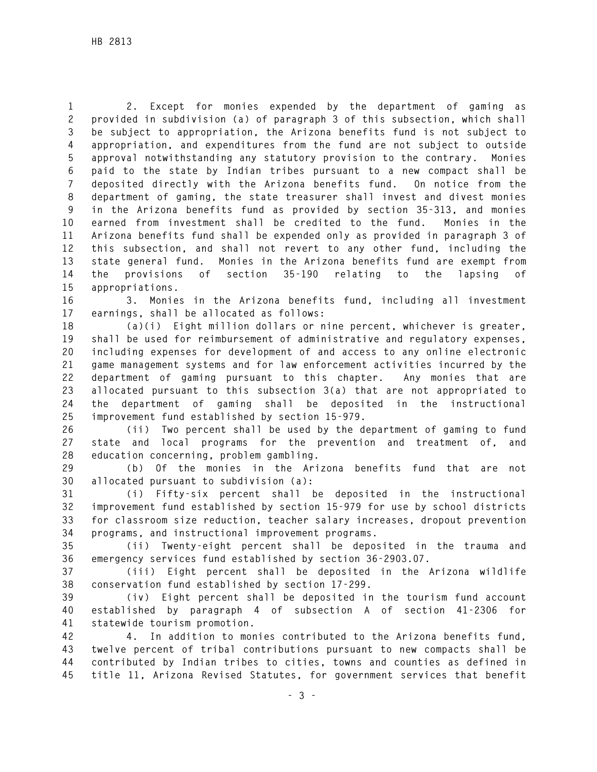**1 2. Except for monies expended by the department of gaming as 2 provided in subdivision (a) of paragraph 3 of this subsection, which shall 3 be subject to appropriation, the Arizona benefits fund is not subject to 4 appropriation, and expenditures from the fund are not subject to outside 5 approval notwithstanding any statutory provision to the contrary. Monies 6 paid to the state by Indian tribes pursuant to a new compact shall be 7 deposited directly with the Arizona benefits fund. On notice from the 8 department of gaming, the state treasurer shall invest and divest monies 9 in the Arizona benefits fund as provided by section 35-313, and monies 10 earned from investment shall be credited to the fund. Monies in the 11 Arizona benefits fund shall be expended only as provided in paragraph 3 of 12 this subsection, and shall not revert to any other fund, including the 13 state general fund. Monies in the Arizona benefits fund are exempt from 14 the provisions of section 35-190 relating to the lapsing of 15 appropriations.** 

**16 3. Monies in the Arizona benefits fund, including all investment 17 earnings, shall be allocated as follows:** 

**18 (a)(i) Eight million dollars or nine percent, whichever is greater, 19 shall be used for reimbursement of administrative and regulatory expenses, 20 including expenses for development of and access to any online electronic 21 game management systems and for law enforcement activities incurred by the 22 department of gaming pursuant to this chapter. Any monies that are 23 allocated pursuant to this subsection 3(a) that are not appropriated to 24 the department of gaming shall be deposited in the instructional 25 improvement fund established by section 15-979.** 

**26 (ii) Two percent shall be used by the department of gaming to fund 27 state and local programs for the prevention and treatment of, and 28 education concerning, problem gambling.** 

**29 (b) Of the monies in the Arizona benefits fund that are not 30 allocated pursuant to subdivision (a):** 

**31 (i) Fifty-six percent shall be deposited in the instructional 32 improvement fund established by section 15-979 for use by school districts 33 for classroom size reduction, teacher salary increases, dropout prevention 34 programs, and instructional improvement programs.** 

**35 (ii) Twenty-eight percent shall be deposited in the trauma and 36 emergency services fund established by section 36-2903.07.** 

**37 (iii) Eight percent shall be deposited in the Arizona wildlife 38 conservation fund established by section 17-299.** 

**39 (iv) Eight percent shall be deposited in the tourism fund account 40 established by paragraph 4 of subsection A of section 41-2306 for 41 statewide tourism promotion.** 

**42 4. In addition to monies contributed to the Arizona benefits fund, 43 twelve percent of tribal contributions pursuant to new compacts shall be 44 contributed by Indian tribes to cities, towns and counties as defined in 45 title 11, Arizona Revised Statutes, for government services that benefit**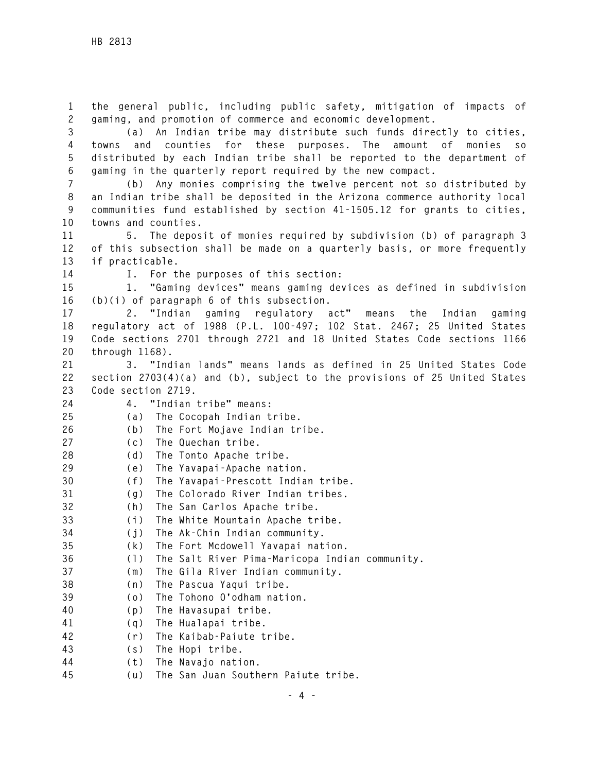**1 the general public, including public safety, mitigation of impacts of 2 gaming, and promotion of commerce and economic development.** 

**3 (a) An Indian tribe may distribute such funds directly to cities, 4 towns and counties for these purposes. The amount of monies so 5 distributed by each Indian tribe shall be reported to the department of 6 gaming in the quarterly report required by the new compact.** 

**7 (b) Any monies comprising the twelve percent not so distributed by 8 an Indian tribe shall be deposited in the Arizona commerce authority local 9 communities fund established by section 41-1505.12 for grants to cities, 10 towns and counties.** 

**11 5. The deposit of monies required by subdivision (b) of paragraph 3 12 of this subsection shall be made on a quarterly basis, or more frequently 13 if practicable.** 

**14 I. For the purposes of this section:** 

**15 1. "Gaming devices" means gaming devices as defined in subdivision 16 (b)(i) of paragraph 6 of this subsection.** 

**17 2. "Indian gaming regulatory act" means the Indian gaming 18 regulatory act of 1988 (P.L. 100-497; 102 Stat. 2467; 25 United States 19 Code sections 2701 through 2721 and 18 United States Code sections 1166 20 through 1168).** 

**21 3. "Indian lands" means lands as defined in 25 United States Code 22 section 2703(4)(a) and (b), subject to the provisions of 25 United States 23 Code section 2719.** 

**24 4. "Indian tribe" means:** 

**25 (a) The Cocopah Indian tribe.** 

**26 (b) The Fort Mojave Indian tribe.** 

- **27 (c) The Quechan tribe.**
- **28 (d) The Tonto Apache tribe.**
- **29 (e) The Yavapai-Apache nation.**
- **30 (f) The Yavapai-Prescott Indian tribe.**
- **31 (g) The Colorado River Indian tribes.**
- **32 (h) The San Carlos Apache tribe.**
- **33 (i) The White Mountain Apache tribe.**
- **34 (j) The Ak-Chin Indian community.**
- **35 (k) The Fort Mcdowell Yavapai nation.**
- **36 (l) The Salt River Pima-Maricopa Indian community.**
- **37 (m) The Gila River Indian community.**
- **38 (n) The Pascua Yaqui tribe.**
- **39 (o) The Tohono O'odham nation.**
- **40 (p) The Havasupai tribe.**
- **41 (q) The Hualapai tribe.**
- **42 (r) The Kaibab-Paiute tribe.**
- **43 (s) The Hopi tribe.**
- **44 (t) The Navajo nation.**
- **45 (u) The San Juan Southern Paiute tribe.**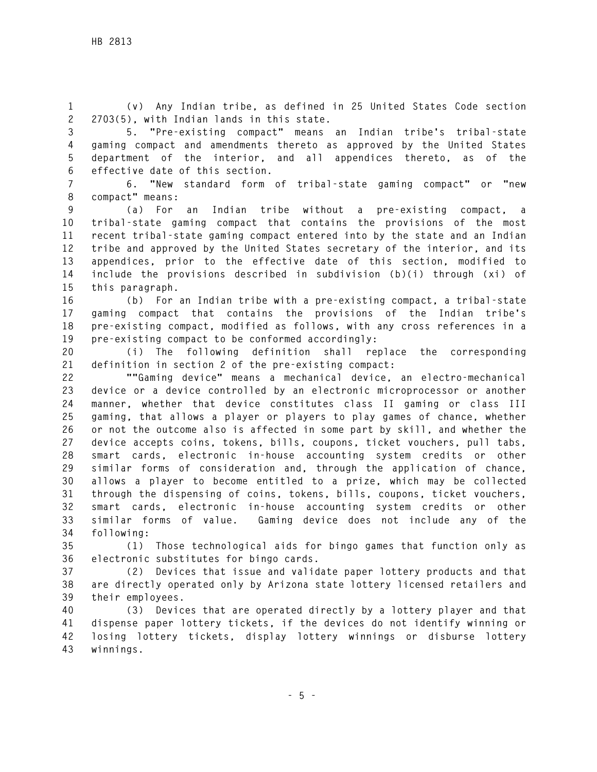**1 (v) Any Indian tribe, as defined in 25 United States Code section 2 2703(5), with Indian lands in this state.** 

**3 5. "Pre-existing compact" means an Indian tribe's tribal-state 4 gaming compact and amendments thereto as approved by the United States 5 department of the interior, and all appendices thereto, as of the 6 effective date of this section.** 

**7 6. "New standard form of tribal-state gaming compact" or "new 8 compact" means:** 

**9 (a) For an Indian tribe without a pre-existing compact, a 10 tribal-state gaming compact that contains the provisions of the most 11 recent tribal-state gaming compact entered into by the state and an Indian 12 tribe and approved by the United States secretary of the interior, and its 13 appendices, prior to the effective date of this section, modified to 14 include the provisions described in subdivision (b)(i) through (xi) of 15 this paragraph.** 

**16 (b) For an Indian tribe with a pre-existing compact, a tribal-state 17 gaming compact that contains the provisions of the Indian tribe's 18 pre-existing compact, modified as follows, with any cross references in a 19 pre-existing compact to be conformed accordingly:** 

**20 (i) The following definition shall replace the corresponding 21 definition in section 2 of the pre-existing compact:** 

**22 ""Gaming device" means a mechanical device, an electro-mechanical 23 device or a device controlled by an electronic microprocessor or another 24 manner, whether that device constitutes class II gaming or class III 25 gaming, that allows a player or players to play games of chance, whether 26 or not the outcome also is affected in some part by skill, and whether the 27 device accepts coins, tokens, bills, coupons, ticket vouchers, pull tabs, 28 smart cards, electronic in-house accounting system credits or other 29 similar forms of consideration and, through the application of chance, 30 allows a player to become entitled to a prize, which may be collected 31 through the dispensing of coins, tokens, bills, coupons, ticket vouchers, 32 smart cards, electronic in-house accounting system credits or other 33 similar forms of value. Gaming device does not include any of the 34 following:** 

**35 (1) Those technological aids for bingo games that function only as 36 electronic substitutes for bingo cards.** 

**37 (2) Devices that issue and validate paper lottery products and that 38 are directly operated only by Arizona state lottery licensed retailers and 39 their employees.** 

**40 (3) Devices that are operated directly by a lottery player and that 41 dispense paper lottery tickets, if the devices do not identify winning or 42 losing lottery tickets, display lottery winnings or disburse lottery 43 winnings.**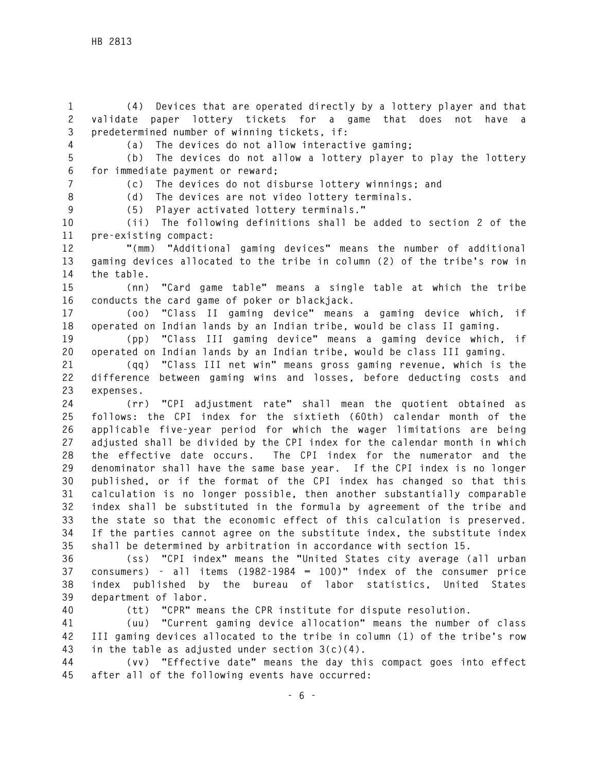**1 (4) Devices that are operated directly by a lottery player and that 2 validate paper lottery tickets for a game that does not have a 3 predetermined number of winning tickets, if:** 

**4 (a) The devices do not allow interactive gaming;** 

**5 (b) The devices do not allow a lottery player to play the lottery 6 for immediate payment or reward;** 

**7 (c) The devices do not disburse lottery winnings; and** 

**8 (d) The devices are not video lottery terminals. 9 (5) Player activated lottery terminals."** 

**10 (ii) The following definitions shall be added to section 2 of the 11 pre-existing compact:** 

**12 "(mm) "Additional gaming devices" means the number of additional 13 gaming devices allocated to the tribe in column (2) of the tribe's row in 14 the table.** 

**15 (nn) "Card game table" means a single table at which the tribe 16 conducts the card game of poker or blackjack.** 

**17 (oo) "Class II gaming device" means a gaming device which, if 18 operated on Indian lands by an Indian tribe, would be class II gaming.** 

**19 (pp) "Class III gaming device" means a gaming device which, if 20 operated on Indian lands by an Indian tribe, would be class III gaming.** 

**21 (qq) "Class III net win" means gross gaming revenue, which is the 22 difference between gaming wins and losses, before deducting costs and 23 expenses.** 

**24 (rr) "CPI adjustment rate" shall mean the quotient obtained as 25 follows: the CPI index for the sixtieth (60th) calendar month of the 26 applicable five-year period for which the wager limitations are being 27 adjusted shall be divided by the CPI index for the calendar month in which 28 the effective date occurs. The CPI index for the numerator and the 29 denominator shall have the same base year. If the CPI index is no longer 30 published, or if the format of the CPI index has changed so that this 31 calculation is no longer possible, then another substantially comparable 32 index shall be substituted in the formula by agreement of the tribe and 33 the state so that the economic effect of this calculation is preserved. 34 If the parties cannot agree on the substitute index, the substitute index 35 shall be determined by arbitration in accordance with section 15.** 

**36 (ss) "CPI index" means the "United States city average (all urban 37 consumers) - all items (1982-1984 = 100)" index of the consumer price 38 index published by the bureau of labor statistics, United States 39 department of labor.** 

**40 (tt) "CPR" means the CPR institute for dispute resolution.** 

**41 (uu) "Current gaming device allocation" means the number of class 42 III gaming devices allocated to the tribe in column (1) of the tribe's row 43 in the table as adjusted under section 3(c)(4).** 

**44 (vv) "Effective date" means the day this compact goes into effect 45 after all of the following events have occurred:**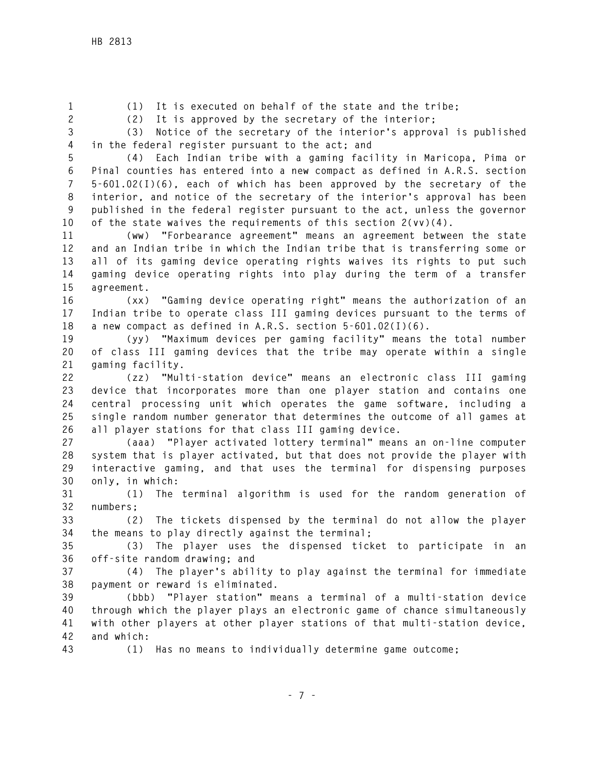**1 (1) It is executed on behalf of the state and the tribe;** 

**2 (2) It is approved by the secretary of the interior;** 

**3 (3) Notice of the secretary of the interior's approval is published 4 in the federal register pursuant to the act; and** 

**5 (4) Each Indian tribe with a gaming facility in Maricopa, Pima or 6 Pinal counties has entered into a new compact as defined in A.R.S. section 7 5-601.02(I)(6), each of which has been approved by the secretary of the 8 interior, and notice of the secretary of the interior's approval has been 9 published in the federal register pursuant to the act, unless the governor 10 of the state waives the requirements of this section 2(vv)(4).** 

**11 (ww) "Forbearance agreement" means an agreement between the state 12 and an Indian tribe in which the Indian tribe that is transferring some or 13 all of its gaming device operating rights waives its rights to put such 14 gaming device operating rights into play during the term of a transfer 15 agreement.** 

**16 (xx) "Gaming device operating right" means the authorization of an 17 Indian tribe to operate class III gaming devices pursuant to the terms of 18 a new compact as defined in A.R.S. section 5-601.02(I)(6).** 

**19 (yy) "Maximum devices per gaming facility" means the total number 20 of class III gaming devices that the tribe may operate within a single 21 gaming facility.** 

**22 (zz) "Multi-station device" means an electronic class III gaming 23 device that incorporates more than one player station and contains one 24 central processing unit which operates the game software, including a 25 single random number generator that determines the outcome of all games at 26 all player stations for that class III gaming device.** 

**27 (aaa) "Player activated lottery terminal" means an on-line computer 28 system that is player activated, but that does not provide the player with 29 interactive gaming, and that uses the terminal for dispensing purposes 30 only, in which:** 

**31 (1) The terminal algorithm is used for the random generation of 32 numbers;** 

**33 (2) The tickets dispensed by the terminal do not allow the player 34 the means to play directly against the terminal;** 

**35 (3) The player uses the dispensed ticket to participate in an 36 off-site random drawing; and** 

**37 (4) The player's ability to play against the terminal for immediate 38 payment or reward is eliminated.** 

**39 (bbb) "Player station" means a terminal of a multi-station device 40 through which the player plays an electronic game of chance simultaneously 41 with other players at other player stations of that multi-station device, 42 and which:** 

**43 (1) Has no means to individually determine game outcome;**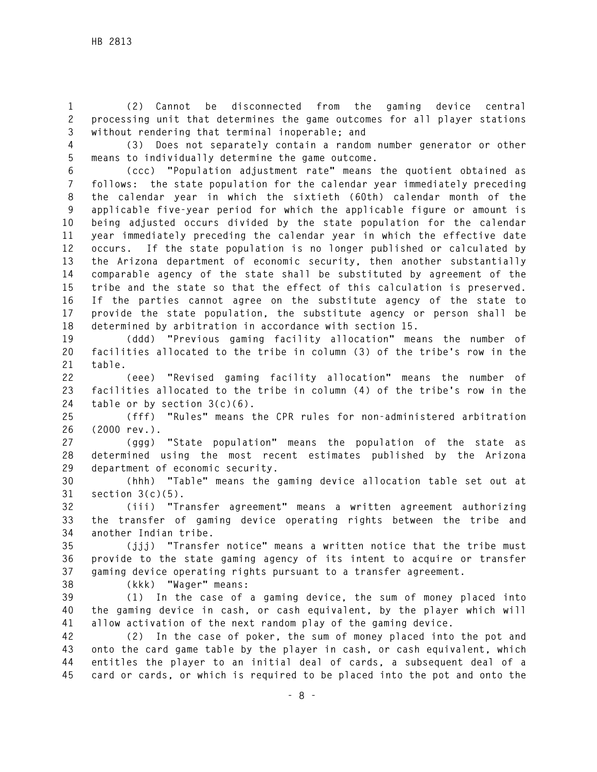**1 (2) Cannot be disconnected from the gaming device central 2 processing unit that determines the game outcomes for all player stations 3 without rendering that terminal inoperable; and** 

**4 (3) Does not separately contain a random number generator or other 5 means to individually determine the game outcome.** 

**6 (ccc) "Population adjustment rate" means the quotient obtained as 7 follows: the state population for the calendar year immediately preceding 8 the calendar year in which the sixtieth (60th) calendar month of the 9 applicable five-year period for which the applicable figure or amount is 10 being adjusted occurs divided by the state population for the calendar 11 year immediately preceding the calendar year in which the effective date 12 occurs. If the state population is no longer published or calculated by 13 the Arizona department of economic security, then another substantially 14 comparable agency of the state shall be substituted by agreement of the 15 tribe and the state so that the effect of this calculation is preserved. 16 If the parties cannot agree on the substitute agency of the state to 17 provide the state population, the substitute agency or person shall be 18 determined by arbitration in accordance with section 15.** 

**19 (ddd) "Previous gaming facility allocation" means the number of 20 facilities allocated to the tribe in column (3) of the tribe's row in the 21 table.** 

**22 (eee) "Revised gaming facility allocation" means the number of 23 facilities allocated to the tribe in column (4) of the tribe's row in the 24 table or by section 3(c)(6).** 

**25 (fff) "Rules" means the CPR rules for non-administered arbitration 26 (2000 rev.).** 

**27 (ggg) "State population" means the population of the state as 28 determined using the most recent estimates published by the Arizona 29 department of economic security.** 

**30 (hhh) "Table" means the gaming device allocation table set out at 31 section 3(c)(5).** 

**32 (iii) "Transfer agreement" means a written agreement authorizing 33 the transfer of gaming device operating rights between the tribe and 34 another Indian tribe.** 

**35 (jjj) "Transfer notice" means a written notice that the tribe must 36 provide to the state gaming agency of its intent to acquire or transfer 37 gaming device operating rights pursuant to a transfer agreement.** 

**38 (kkk) "Wager" means:** 

**39 (1) In the case of a gaming device, the sum of money placed into 40 the gaming device in cash, or cash equivalent, by the player which will 41 allow activation of the next random play of the gaming device.** 

**42 (2) In the case of poker, the sum of money placed into the pot and 43 onto the card game table by the player in cash, or cash equivalent, which 44 entitles the player to an initial deal of cards, a subsequent deal of a 45 card or cards, or which is required to be placed into the pot and onto the**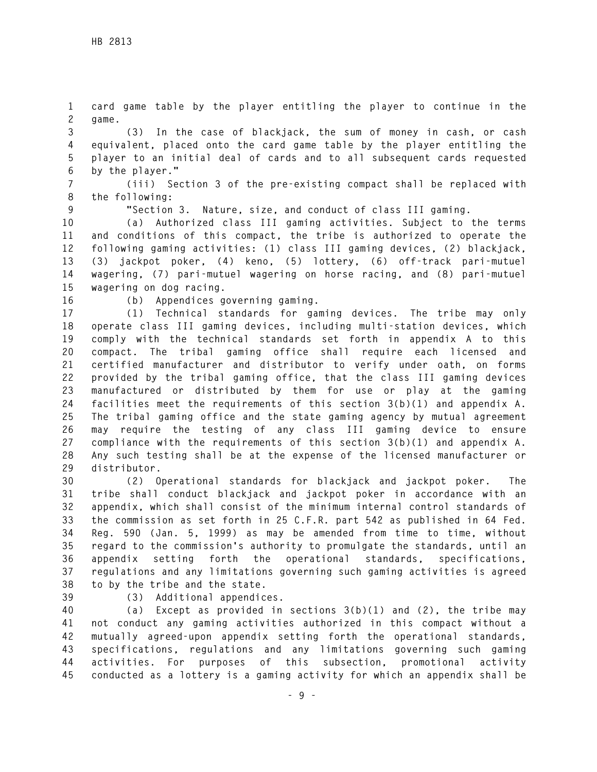**1 card game table by the player entitling the player to continue in the 2 game.** 

**3 (3) In the case of blackjack, the sum of money in cash, or cash 4 equivalent, placed onto the card game table by the player entitling the 5 player to an initial deal of cards and to all subsequent cards requested 6 by the player."** 

**7 (iii) Section 3 of the pre-existing compact shall be replaced with 8 the following:** 

**9 "Section 3. Nature, size, and conduct of class III gaming.** 

**10 (a) Authorized class III gaming activities. Subject to the terms 11 and conditions of this compact, the tribe is authorized to operate the 12 following gaming activities: (1) class III gaming devices, (2) blackjack, 13 (3) jackpot poker, (4) keno, (5) lottery, (6) off-track pari-mutuel 14 wagering, (7) pari-mutuel wagering on horse racing, and (8) pari-mutuel 15 wagering on dog racing.** 

**16 (b) Appendices governing gaming.** 

**17 (1) Technical standards for gaming devices. The tribe may only 18 operate class III gaming devices, including multi-station devices, which 19 comply with the technical standards set forth in appendix A to this 20 compact. The tribal gaming office shall require each licensed and 21 certified manufacturer and distributor to verify under oath, on forms 22 provided by the tribal gaming office, that the class III gaming devices 23 manufactured or distributed by them for use or play at the gaming 24 facilities meet the requirements of this section 3(b)(1) and appendix A. 25 The tribal gaming office and the state gaming agency by mutual agreement 26 may require the testing of any class III gaming device to ensure 27 compliance with the requirements of this section 3(b)(1) and appendix A. 28 Any such testing shall be at the expense of the licensed manufacturer or 29 distributor.** 

**30 (2) Operational standards for blackjack and jackpot poker. The 31 tribe shall conduct blackjack and jackpot poker in accordance with an 32 appendix, which shall consist of the minimum internal control standards of 33 the commission as set forth in 25 C.F.R. part 542 as published in 64 Fed. 34 Reg. 590 (Jan. 5, 1999) as may be amended from time to time, without 35 regard to the commission's authority to promulgate the standards, until an 36 appendix setting forth the operational standards, specifications, 37 regulations and any limitations governing such gaming activities is agreed 38 to by the tribe and the state.** 

**39 (3) Additional appendices.** 

**40 (a) Except as provided in sections 3(b)(1) and (2), the tribe may 41 not conduct any gaming activities authorized in this compact without a 42 mutually agreed-upon appendix setting forth the operational standards, 43 specifications, regulations and any limitations governing such gaming 44 activities. For purposes of this subsection, promotional activity 45 conducted as a lottery is a gaming activity for which an appendix shall be**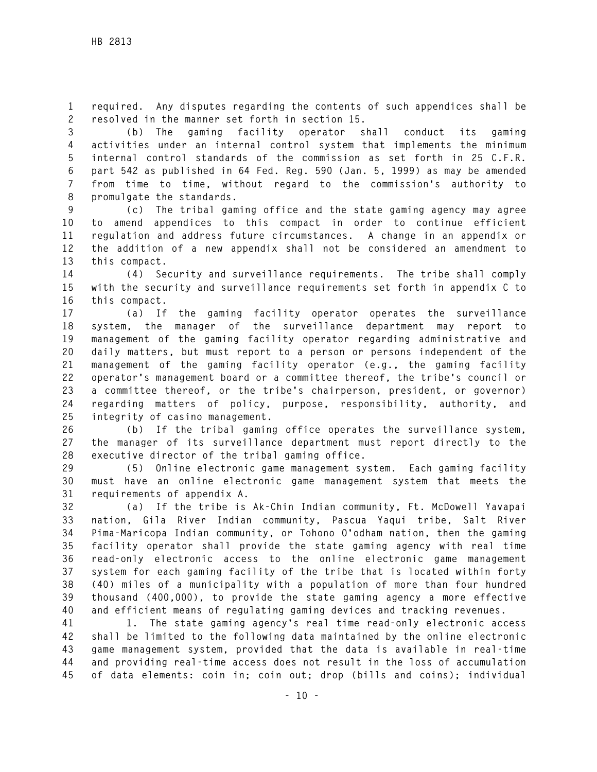**1 required. Any disputes regarding the contents of such appendices shall be 2 resolved in the manner set forth in section 15.** 

**3 (b) The gaming facility operator shall conduct its gaming 4 activities under an internal control system that implements the minimum 5 internal control standards of the commission as set forth in 25 C.F.R. 6 part 542 as published in 64 Fed. Reg. 590 (Jan. 5, 1999) as may be amended 7 from time to time, without regard to the commission's authority to 8 promulgate the standards.** 

**9 (c) The tribal gaming office and the state gaming agency may agree 10 to amend appendices to this compact in order to continue efficient 11 regulation and address future circumstances. A change in an appendix or 12 the addition of a new appendix shall not be considered an amendment to 13 this compact.** 

**14 (4) Security and surveillance requirements. The tribe shall comply 15 with the security and surveillance requirements set forth in appendix C to 16 this compact.** 

**17 (a) If the gaming facility operator operates the surveillance 18 system, the manager of the surveillance department may report to 19 management of the gaming facility operator regarding administrative and 20 daily matters, but must report to a person or persons independent of the 21 management of the gaming facility operator (e.g., the gaming facility 22 operator's management board or a committee thereof, the tribe's council or 23 a committee thereof, or the tribe's chairperson, president, or governor) 24 regarding matters of policy, purpose, responsibility, authority, and 25 integrity of casino management.** 

**26 (b) If the tribal gaming office operates the surveillance system, 27 the manager of its surveillance department must report directly to the 28 executive director of the tribal gaming office.** 

**29 (5) Online electronic game management system. Each gaming facility 30 must have an online electronic game management system that meets the 31 requirements of appendix A.** 

**32 (a) If the tribe is Ak-Chin Indian community, Ft. McDowell Yavapai 33 nation, Gila River Indian community, Pascua Yaqui tribe, Salt River 34 Pima-Maricopa Indian community, or Tohono O'odham nation, then the gaming 35 facility operator shall provide the state gaming agency with real time 36 read-only electronic access to the online electronic game management 37 system for each gaming facility of the tribe that is located within forty 38 (40) miles of a municipality with a population of more than four hundred 39 thousand (400,000), to provide the state gaming agency a more effective 40 and efficient means of regulating gaming devices and tracking revenues.** 

**41 1. The state gaming agency's real time read-only electronic access 42 shall be limited to the following data maintained by the online electronic 43 game management system, provided that the data is available in real-time 44 and providing real-time access does not result in the loss of accumulation 45 of data elements: coin in; coin out; drop (bills and coins); individual**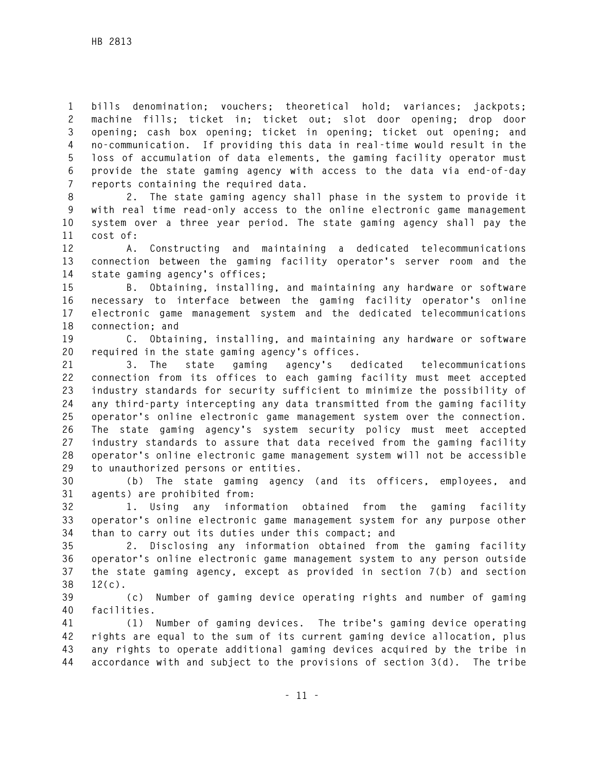**1 bills denomination; vouchers; theoretical hold; variances; jackpots; 2 machine fills; ticket in; ticket out; slot door opening; drop door 3 opening; cash box opening; ticket in opening; ticket out opening; and 4 no-communication. If providing this data in real-time would result in the 5 loss of accumulation of data elements, the gaming facility operator must 6 provide the state gaming agency with access to the data via end-of-day 7 reports containing the required data.** 

**8 2. The state gaming agency shall phase in the system to provide it 9 with real time read-only access to the online electronic game management 10 system over a three year period. The state gaming agency shall pay the 11 cost of:** 

**12 A. Constructing and maintaining a dedicated telecommunications 13 connection between the gaming facility operator's server room and the 14 state gaming agency's offices;** 

**15 B. Obtaining, installing, and maintaining any hardware or software 16 necessary to interface between the gaming facility operator's online 17 electronic game management system and the dedicated telecommunications 18 connection; and** 

**19 C. Obtaining, installing, and maintaining any hardware or software 20 required in the state gaming agency's offices.** 

**21 3. The state gaming agency's dedicated telecommunications 22 connection from its offices to each gaming facility must meet accepted 23 industry standards for security sufficient to minimize the possibility of 24 any third-party intercepting any data transmitted from the gaming facility 25 operator's online electronic game management system over the connection. 26 The state gaming agency's system security policy must meet accepted 27 industry standards to assure that data received from the gaming facility 28 operator's online electronic game management system will not be accessible 29 to unauthorized persons or entities.** 

**30 (b) The state gaming agency (and its officers, employees, and 31 agents) are prohibited from:** 

**32 1. Using any information obtained from the gaming facility 33 operator's online electronic game management system for any purpose other 34 than to carry out its duties under this compact; and** 

**35 2. Disclosing any information obtained from the gaming facility 36 operator's online electronic game management system to any person outside 37 the state gaming agency, except as provided in section 7(b) and section 38 12(c).** 

**39 (c) Number of gaming device operating rights and number of gaming 40 facilities.** 

**41 (1) Number of gaming devices. The tribe's gaming device operating 42 rights are equal to the sum of its current gaming device allocation, plus 43 any rights to operate additional gaming devices acquired by the tribe in 44 accordance with and subject to the provisions of section 3(d). The tribe**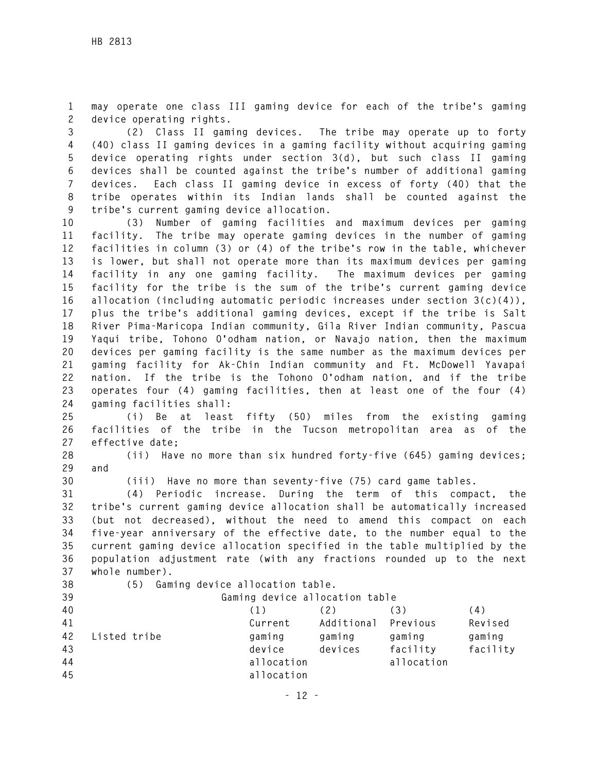**1 may operate one class III gaming device for each of the tribe's gaming 2 device operating rights.** 

**3 (2) Class II gaming devices. The tribe may operate up to forty 4 (40) class II gaming devices in a gaming facility without acquiring gaming 5 device operating rights under section 3(d), but such class II gaming 6 devices shall be counted against the tribe's number of additional gaming 7 devices. Each class II gaming device in excess of forty (40) that the 8 tribe operates within its Indian lands shall be counted against the 9 tribe's current gaming device allocation.** 

**10 (3) Number of gaming facilities and maximum devices per gaming 11 facility. The tribe may operate gaming devices in the number of gaming 12 facilities in column (3) or (4) of the tribe's row in the table, whichever 13 is lower, but shall not operate more than its maximum devices per gaming 14 facility in any one gaming facility. The maximum devices per gaming 15 facility for the tribe is the sum of the tribe's current gaming device 16 allocation (including automatic periodic increases under section 3(c)(4)), 17 plus the tribe's additional gaming devices, except if the tribe is Salt 18 River Pima-Maricopa Indian community, Gila River Indian community, Pascua 19 Yaqui tribe, Tohono O'odham nation, or Navajo nation, then the maximum 20 devices per gaming facility is the same number as the maximum devices per 21 gaming facility for Ak-Chin Indian community and Ft. McDowell Yavapai 22 nation. If the tribe is the Tohono O'odham nation, and if the tribe 23 operates four (4) gaming facilities, then at least one of the four (4) 24 gaming facilities shall:** 

**25 (i) Be at least fifty (50) miles from the existing gaming 26 facilities of the tribe in the Tucson metropolitan area as of the 27 effective date;** 

**28 (ii) Have no more than six hundred forty-five (645) gaming devices; 29 and** 

**30 (iii) Have no more than seventy-five (75) card game tables.** 

**31 (4) Periodic increase. During the term of this compact, the 32 tribe's current gaming device allocation shall be automatically increased 33 (but not decreased), without the need to amend this compact on each 34 five-year anniversary of the effective date, to the number equal to the 35 current gaming device allocation specified in the table multiplied by the 36 population adjustment rate (with any fractions rounded up to the next 37 whole number).** 

**38 (5) Gaming device allocation table.** 

**39 Gaming device allocation table** 

| 40 |              | (1)        | (2)        | (3)        | (4)      |
|----|--------------|------------|------------|------------|----------|
| 41 |              | Current    | Additional | Previous   | Revised  |
| 42 | Listed tribe | gaming     | qaminq     | qaminq     | gaming   |
| 43 |              | device     | devices    | facility   | facility |
| 44 |              | allocation |            | allocation |          |
| 45 |              | allocation |            |            |          |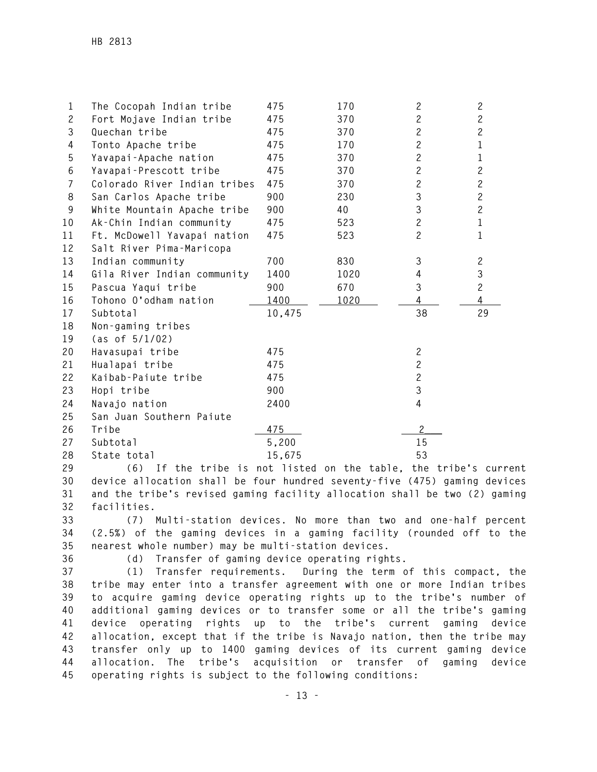| 1              | The Cocopah Indian tribe     | 475    | 170  | $\overline{c}$ | $\mathbf{2}$   |
|----------------|------------------------------|--------|------|----------------|----------------|
| $\overline{c}$ | Fort Mojave Indian tribe     | 475    | 370  | $\mathbf{2}$   | $\mathbf{2}$   |
| 3              | Quechan tribe                | 475    | 370  | $\overline{c}$ | $\overline{c}$ |
| 4              | Tonto Apache tribe           | 475    | 170  | $\mathbf{2}$   | $\mathbf{1}$   |
| 5              | Yavapai-Apache nation        | 475    | 370  | $\overline{c}$ | $\mathbf{1}$   |
| 6              | Yavapai-Prescott tribe       | 475    | 370  | $\overline{c}$ | $\overline{c}$ |
| $\overline{7}$ | Colorado River Indian tribes | 475    | 370  | $\mathbf{2}$   | $\mathbf{2}$   |
| 8              | San Carlos Apache tribe      | 900    | 230  | 3              | $\overline{c}$ |
| 9              | White Mountain Apache tribe  | 900    | 40   | 3              | $\overline{c}$ |
| 10             | Ak-Chin Indian community     | 475    | 523  | $\mathbf{2}$   | $\mathbf{1}$   |
| 11             | Ft. McDowell Yavapai nation  | 475    | 523  | $\overline{c}$ | $\mathbf{1}$   |
| 12             | Salt River Pima-Maricopa     |        |      |                |                |
| 13             | Indian community             | 700    | 830  | 3              | $\mathbf{2}$   |
| 14             | Gila River Indian community  | 1400   | 1020 | 4              | 3              |
| 15             | Pascua Yaqui tribe           | 900    | 670  | 3              | $\mathbf{2}$   |
| 16             | Tohono O'odham nation        | 1400   | 1020 | 4              | 4              |
| 17             | Subtotal                     | 10,475 |      | 38             | 29             |
| 18             | Non-gaming tribes            |        |      |                |                |
| 19             | (as of 5/1/02)               |        |      |                |                |
| 20             | Havasupai tribe              | 475    |      | $\mathbf{2}$   |                |
| 21             | Hualapai tribe               | 475    |      | $\overline{c}$ |                |
| 22             | Kaibab-Paiute tribe          | 475    |      | $\overline{c}$ |                |
| 23             | Hopi tribe                   | 900    |      | 3              |                |
| 24             | Navajo nation                | 2400   |      | 4              |                |
| 25             | San Juan Southern Paiute     |        |      |                |                |
| 26             | Tribe                        | 475    |      | $\mathbf{2}$   |                |
| 27             | Subtotal                     | 5,200  |      | 15             |                |
| 28             | State total                  | 15,675 |      | 53             |                |

**29 (6) If the tribe is not listed on the table, the tribe's current 30 device allocation shall be four hundred seventy-five (475) gaming devices 31 and the tribe's revised gaming facility allocation shall be two (2) gaming 32 facilities.** 

**33 (7) Multi-station devices. No more than two and one-half percent 34 (2.5%) of the gaming devices in a gaming facility (rounded off to the 35 nearest whole number) may be multi-station devices.** 

**36 (d) Transfer of gaming device operating rights.** 

**37 (1) Transfer requirements. During the term of this compact, the 38 tribe may enter into a transfer agreement with one or more Indian tribes 39 to acquire gaming device operating rights up to the tribe's number of 40 additional gaming devices or to transfer some or all the tribe's gaming 41 device operating rights up to the tribe's current gaming device 42 allocation, except that if the tribe is Navajo nation, then the tribe may 43 transfer only up to 1400 gaming devices of its current gaming device 44 allocation. The tribe's acquisition or transfer of gaming device 45 operating rights is subject to the following conditions:**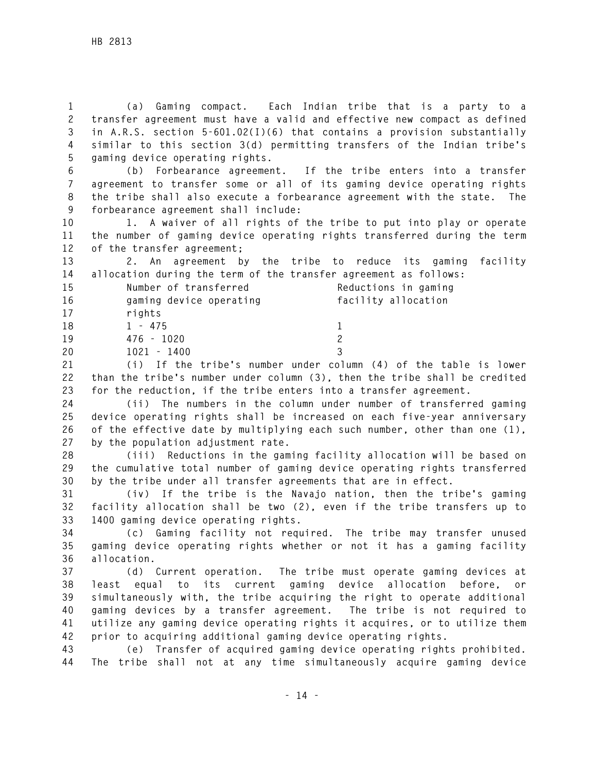**1 (a) Gaming compact. Each Indian tribe that is a party to a 2 transfer agreement must have a valid and effective new compact as defined 3 in A.R.S. section 5-601.02(I)(6) that contains a provision substantially 4 similar to this section 3(d) permitting transfers of the Indian tribe's 5 gaming device operating rights.** 

**6 (b) Forbearance agreement. If the tribe enters into a transfer 7 agreement to transfer some or all of its gaming device operating rights 8 the tribe shall also execute a forbearance agreement with the state. The 9 forbearance agreement shall include:** 

**10 1. A waiver of all rights of the tribe to put into play or operate 11 the number of gaming device operating rights transferred during the term 12 of the transfer agreement;** 

**13 2. An agreement by the tribe to reduce its gaming facility 14 allocation during the term of the transfer agreement as follows:** 

| 15       | Number of transferred                                                    | Reductions in gaming |
|----------|--------------------------------------------------------------------------|----------------------|
| 16       | gaming device operating                                                  | facility allocation  |
| 17       | rights                                                                   |                      |
| 18       | $1 - 475$                                                                |                      |
| 19       | 476 - 1020                                                               |                      |
| 20       | $1021 - 1400$                                                            |                      |
| $\sim$ 1 | 738 - T.C. Abdella A. J. Leongon, andreas and anno 748 a C. Abdella Aghl |                      |

**21 (i) If the tribe's number under column (4) of the table is lower 22 than the tribe's number under column (3), then the tribe shall be credited 23 for the reduction, if the tribe enters into a transfer agreement.** 

**24 (ii) The numbers in the column under number of transferred gaming 25 device operating rights shall be increased on each five-year anniversary 26 of the effective date by multiplying each such number, other than one (1), 27 by the population adjustment rate.** 

**28 (iii) Reductions in the gaming facility allocation will be based on 29 the cumulative total number of gaming device operating rights transferred 30 by the tribe under all transfer agreements that are in effect.** 

**31 (iv) If the tribe is the Navajo nation, then the tribe's gaming 32 facility allocation shall be two (2), even if the tribe transfers up to 33 1400 gaming device operating rights.** 

**34 (c) Gaming facility not required. The tribe may transfer unused 35 gaming device operating rights whether or not it has a gaming facility 36 allocation.** 

**37 (d) Current operation. The tribe must operate gaming devices at 38 least equal to its current gaming device allocation before, or 39 simultaneously with, the tribe acquiring the right to operate additional 40 gaming devices by a transfer agreement. The tribe is not required to 41 utilize any gaming device operating rights it acquires, or to utilize them 42 prior to acquiring additional gaming device operating rights.** 

**43 (e) Transfer of acquired gaming device operating rights prohibited. 44 The tribe shall not at any time simultaneously acquire gaming device**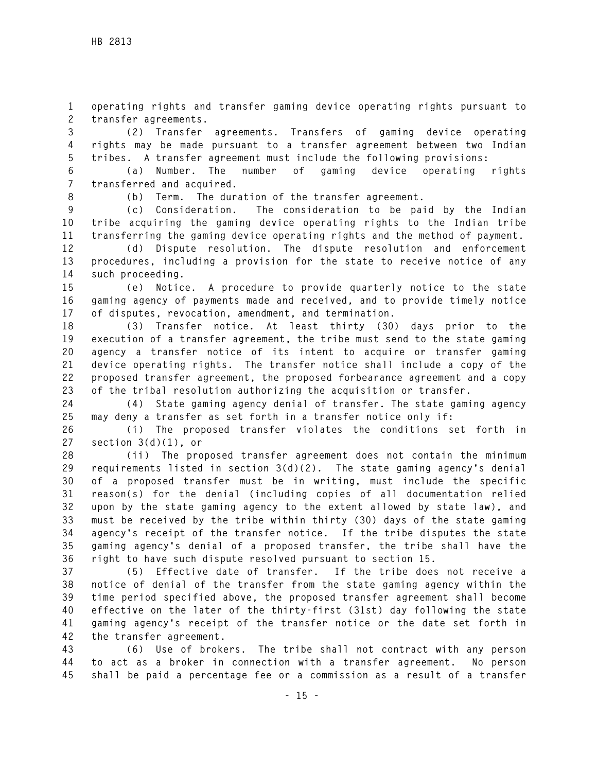**1 operating rights and transfer gaming device operating rights pursuant to 2 transfer agreements.** 

**3 (2) Transfer agreements. Transfers of gaming device operating 4 rights may be made pursuant to a transfer agreement between two Indian 5 tribes. A transfer agreement must include the following provisions:** 

**6 (a) Number. The number of gaming device operating rights 7 transferred and acquired.** 

**8 (b) Term. The duration of the transfer agreement.** 

**9 (c) Consideration. The consideration to be paid by the Indian 10 tribe acquiring the gaming device operating rights to the Indian tribe 11 transferring the gaming device operating rights and the method of payment.** 

**12 (d) Dispute resolution. The dispute resolution and enforcement 13 procedures, including a provision for the state to receive notice of any 14 such proceeding.** 

**15 (e) Notice. A procedure to provide quarterly notice to the state 16 gaming agency of payments made and received, and to provide timely notice 17 of disputes, revocation, amendment, and termination.** 

**18 (3) Transfer notice. At least thirty (30) days prior to the 19 execution of a transfer agreement, the tribe must send to the state gaming 20 agency a transfer notice of its intent to acquire or transfer gaming 21 device operating rights. The transfer notice shall include a copy of the 22 proposed transfer agreement, the proposed forbearance agreement and a copy 23 of the tribal resolution authorizing the acquisition or transfer.** 

**24 (4) State gaming agency denial of transfer. The state gaming agency 25 may deny a transfer as set forth in a transfer notice only if:** 

**26 (i) The proposed transfer violates the conditions set forth in 27 section 3(d)(1), or** 

**28 (ii) The proposed transfer agreement does not contain the minimum 29 requirements listed in section 3(d)(2). The state gaming agency's denial 30 of a proposed transfer must be in writing, must include the specific 31 reason(s) for the denial (including copies of all documentation relied 32 upon by the state gaming agency to the extent allowed by state law), and 33 must be received by the tribe within thirty (30) days of the state gaming 34 agency's receipt of the transfer notice. If the tribe disputes the state 35 gaming agency's denial of a proposed transfer, the tribe shall have the 36 right to have such dispute resolved pursuant to section 15.** 

**37 (5) Effective date of transfer. If the tribe does not receive a 38 notice of denial of the transfer from the state gaming agency within the 39 time period specified above, the proposed transfer agreement shall become 40 effective on the later of the thirty-first (31st) day following the state 41 gaming agency's receipt of the transfer notice or the date set forth in 42 the transfer agreement.** 

**43 (6) Use of brokers. The tribe shall not contract with any person 44 to act as a broker in connection with a transfer agreement. No person 45 shall be paid a percentage fee or a commission as a result of a transfer**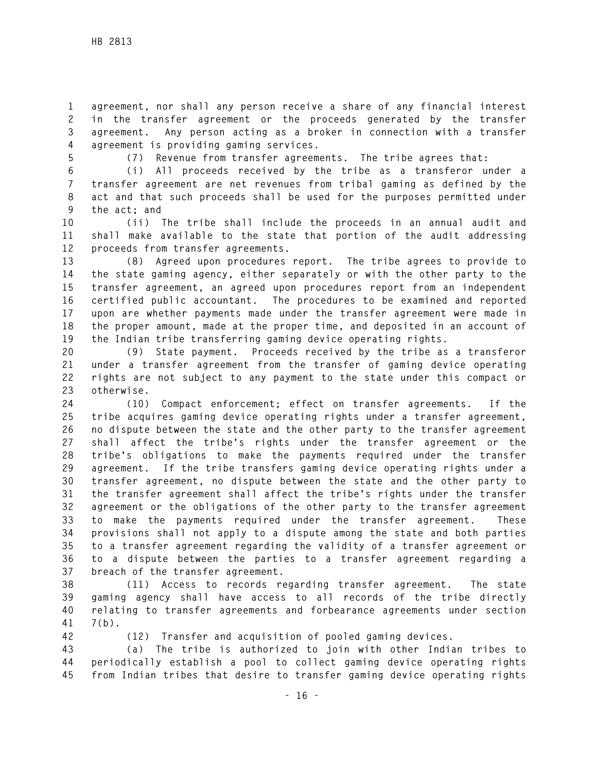**1 agreement, nor shall any person receive a share of any financial interest 2 in the transfer agreement or the proceeds generated by the transfer 3 agreement. Any person acting as a broker in connection with a transfer 4 agreement is providing gaming services.** 

**5 (7) Revenue from transfer agreements. The tribe agrees that:** 

**6 (i) All proceeds received by the tribe as a transferor under a 7 transfer agreement are net revenues from tribal gaming as defined by the 8 act and that such proceeds shall be used for the purposes permitted under 9 the act; and** 

**10 (ii) The tribe shall include the proceeds in an annual audit and 11 shall make available to the state that portion of the audit addressing 12 proceeds from transfer agreements.** 

**13 (8) Agreed upon procedures report. The tribe agrees to provide to 14 the state gaming agency, either separately or with the other party to the 15 transfer agreement, an agreed upon procedures report from an independent 16 certified public accountant. The procedures to be examined and reported 17 upon are whether payments made under the transfer agreement were made in 18 the proper amount, made at the proper time, and deposited in an account of 19 the Indian tribe transferring gaming device operating rights.** 

**20 (9) State payment. Proceeds received by the tribe as a transferor 21 under a transfer agreement from the transfer of gaming device operating 22 rights are not subject to any payment to the state under this compact or 23 otherwise.** 

**24 (10) Compact enforcement; effect on transfer agreements. If the 25 tribe acquires gaming device operating rights under a transfer agreement, 26 no dispute between the state and the other party to the transfer agreement 27 shall affect the tribe's rights under the transfer agreement or the 28 tribe's obligations to make the payments required under the transfer 29 agreement. If the tribe transfers gaming device operating rights under a 30 transfer agreement, no dispute between the state and the other party to 31 the transfer agreement shall affect the tribe's rights under the transfer 32 agreement or the obligations of the other party to the transfer agreement 33 to make the payments required under the transfer agreement. These 34 provisions shall not apply to a dispute among the state and both parties 35 to a transfer agreement regarding the validity of a transfer agreement or 36 to a dispute between the parties to a transfer agreement regarding a 37 breach of the transfer agreement.** 

**38 (11) Access to records regarding transfer agreement. The state 39 gaming agency shall have access to all records of the tribe directly 40 relating to transfer agreements and forbearance agreements under section 41 7(b).** 

**42 (12) Transfer and acquisition of pooled gaming devices.** 

**43 (a) The tribe is authorized to join with other Indian tribes to 44 periodically establish a pool to collect gaming device operating rights 45 from Indian tribes that desire to transfer gaming device operating rights**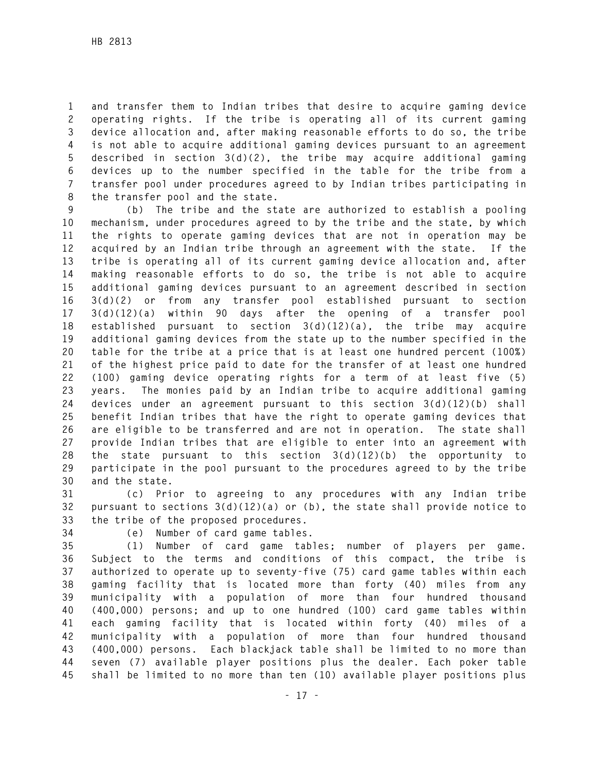**1 and transfer them to Indian tribes that desire to acquire gaming device 2 operating rights. If the tribe is operating all of its current gaming 3 device allocation and, after making reasonable efforts to do so, the tribe 4 is not able to acquire additional gaming devices pursuant to an agreement 5 described in section 3(d)(2), the tribe may acquire additional gaming 6 devices up to the number specified in the table for the tribe from a 7 transfer pool under procedures agreed to by Indian tribes participating in 8 the transfer pool and the state.** 

**9 (b) The tribe and the state are authorized to establish a pooling 10 mechanism, under procedures agreed to by the tribe and the state, by which 11 the rights to operate gaming devices that are not in operation may be 12 acquired by an Indian tribe through an agreement with the state. If the 13 tribe is operating all of its current gaming device allocation and, after 14 making reasonable efforts to do so, the tribe is not able to acquire 15 additional gaming devices pursuant to an agreement described in section 16 3(d)(2) or from any transfer pool established pursuant to section 17 3(d)(12)(a) within 90 days after the opening of a transfer pool 18 established pursuant to section 3(d)(12)(a), the tribe may acquire 19 additional gaming devices from the state up to the number specified in the 20 table for the tribe at a price that is at least one hundred percent (100%) 21 of the highest price paid to date for the transfer of at least one hundred 22 (100) gaming device operating rights for a term of at least five (5) 23 years. The monies paid by an Indian tribe to acquire additional gaming 24 devices under an agreement pursuant to this section 3(d)(12)(b) shall 25 benefit Indian tribes that have the right to operate gaming devices that 26 are eligible to be transferred and are not in operation. The state shall 27 provide Indian tribes that are eligible to enter into an agreement with 28 the state pursuant to this section 3(d)(12)(b) the opportunity to 29 participate in the pool pursuant to the procedures agreed to by the tribe 30 and the state.** 

**31 (c) Prior to agreeing to any procedures with any Indian tribe 32 pursuant to sections 3(d)(12)(a) or (b), the state shall provide notice to 33 the tribe of the proposed procedures.** 

**34 (e) Number of card game tables.** 

**35 (1) Number of card game tables; number of players per game. 36 Subject to the terms and conditions of this compact, the tribe is 37 authorized to operate up to seventy-five (75) card game tables within each 38 gaming facility that is located more than forty (40) miles from any 39 municipality with a population of more than four hundred thousand 40 (400,000) persons; and up to one hundred (100) card game tables within 41 each gaming facility that is located within forty (40) miles of a 42 municipality with a population of more than four hundred thousand 43 (400,000) persons. Each blackjack table shall be limited to no more than 44 seven (7) available player positions plus the dealer. Each poker table 45 shall be limited to no more than ten (10) available player positions plus**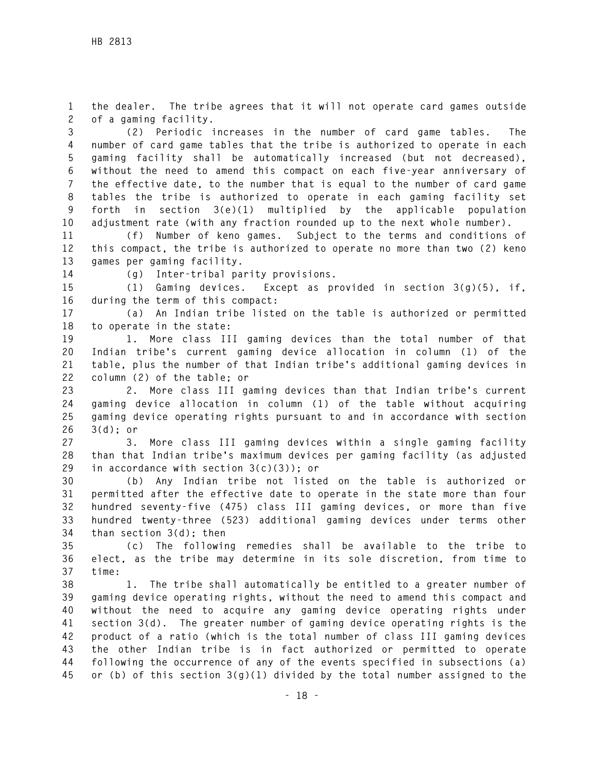**1 the dealer. The tribe agrees that it will not operate card games outside 2 of a gaming facility.** 

**3 (2) Periodic increases in the number of card game tables. The 4 number of card game tables that the tribe is authorized to operate in each 5 gaming facility shall be automatically increased (but not decreased), 6 without the need to amend this compact on each five-year anniversary of 7 the effective date, to the number that is equal to the number of card game 8 tables the tribe is authorized to operate in each gaming facility set 9 forth in section 3(e)(1) multiplied by the applicable population 10 adjustment rate (with any fraction rounded up to the next whole number).** 

**11 (f) Number of keno games. Subject to the terms and conditions of 12 this compact, the tribe is authorized to operate no more than two (2) keno 13 games per gaming facility.** 

**14 (g) Inter-tribal parity provisions.** 

**15 (1) Gaming devices. Except as provided in section 3(g)(5), if, 16 during the term of this compact:** 

**17 (a) An Indian tribe listed on the table is authorized or permitted 18 to operate in the state:** 

**19 1. More class III gaming devices than the total number of that 20 Indian tribe's current gaming device allocation in column (1) of the 21 table, plus the number of that Indian tribe's additional gaming devices in 22 column (2) of the table; or** 

**23 2. More class III gaming devices than that Indian tribe's current 24 gaming device allocation in column (1) of the table without acquiring 25 gaming device operating rights pursuant to and in accordance with section 26 3(d); or** 

**27 3. More class III gaming devices within a single gaming facility 28 than that Indian tribe's maximum devices per gaming facility (as adjusted 29 in accordance with section 3(c)(3)); or** 

**30 (b) Any Indian tribe not listed on the table is authorized or 31 permitted after the effective date to operate in the state more than four 32 hundred seventy-five (475) class III gaming devices, or more than five 33 hundred twenty-three (523) additional gaming devices under terms other 34 than section 3(d); then** 

**35 (c) The following remedies shall be available to the tribe to 36 elect, as the tribe may determine in its sole discretion, from time to 37 time:** 

**38 1. The tribe shall automatically be entitled to a greater number of 39 gaming device operating rights, without the need to amend this compact and 40 without the need to acquire any gaming device operating rights under 41 section 3(d). The greater number of gaming device operating rights is the 42 product of a ratio (which is the total number of class III gaming devices 43 the other Indian tribe is in fact authorized or permitted to operate 44 following the occurrence of any of the events specified in subsections (a) 45 or (b) of this section 3(g)(1) divided by the total number assigned to the**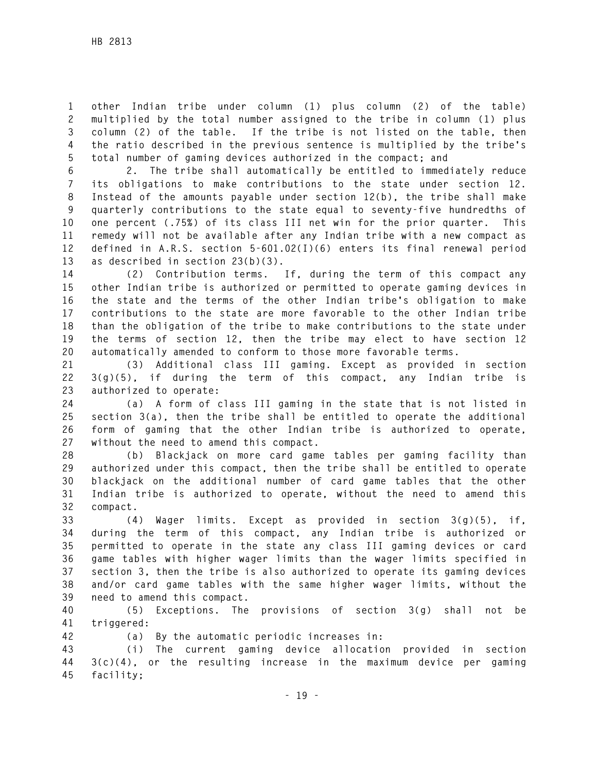**1 other Indian tribe under column (1) plus column (2) of the table) 2 multiplied by the total number assigned to the tribe in column (1) plus 3 column (2) of the table. If the tribe is not listed on the table, then 4 the ratio described in the previous sentence is multiplied by the tribe's 5 total number of gaming devices authorized in the compact; and** 

**6 2. The tribe shall automatically be entitled to immediately reduce 7 its obligations to make contributions to the state under section 12. 8 Instead of the amounts payable under section 12(b), the tribe shall make 9 quarterly contributions to the state equal to seventy-five hundredths of 10 one percent (.75%) of its class III net win for the prior quarter. This 11 remedy will not be available after any Indian tribe with a new compact as 12 defined in A.R.S. section 5-601.02(I)(6) enters its final renewal period 13 as described in section 23(b)(3).** 

**14 (2) Contribution terms. If, during the term of this compact any 15 other Indian tribe is authorized or permitted to operate gaming devices in 16 the state and the terms of the other Indian tribe's obligation to make 17 contributions to the state are more favorable to the other Indian tribe 18 than the obligation of the tribe to make contributions to the state under 19 the terms of section 12, then the tribe may elect to have section 12 20 automatically amended to conform to those more favorable terms.** 

**21 (3) Additional class III gaming. Except as provided in section 22 3(g)(5), if during the term of this compact, any Indian tribe is 23 authorized to operate:** 

**24 (a) A form of class III gaming in the state that is not listed in 25 section 3(a), then the tribe shall be entitled to operate the additional 26 form of gaming that the other Indian tribe is authorized to operate, 27 without the need to amend this compact.** 

**28 (b) Blackjack on more card game tables per gaming facility than 29 authorized under this compact, then the tribe shall be entitled to operate 30 blackjack on the additional number of card game tables that the other 31 Indian tribe is authorized to operate, without the need to amend this 32 compact.** 

**33 (4) Wager limits. Except as provided in section 3(g)(5), if, 34 during the term of this compact, any Indian tribe is authorized or 35 permitted to operate in the state any class III gaming devices or card 36 game tables with higher wager limits than the wager limits specified in 37 section 3, then the tribe is also authorized to operate its gaming devices 38 and/or card game tables with the same higher wager limits, without the 39 need to amend this compact.** 

**40 (5) Exceptions. The provisions of section 3(g) shall not be 41 triggered:** 

**42 (a) By the automatic periodic increases in:** 

**43 (i) The current gaming device allocation provided in section 44 3(c)(4), or the resulting increase in the maximum device per gaming 45 facility;**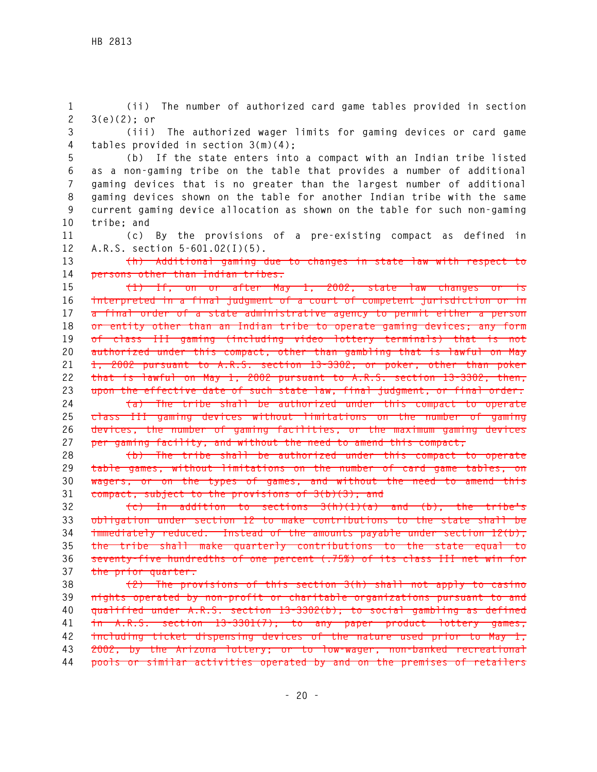**1 (ii) The number of authorized card game tables provided in section 2 3(e)(2); or** 

**3 (iii) The authorized wager limits for gaming devices or card game 4 tables provided in section 3(m)(4);** 

**5 (b) If the state enters into a compact with an Indian tribe listed 6 as a non-gaming tribe on the table that provides a number of additional 7 gaming devices that is no greater than the largest number of additional 8 gaming devices shown on the table for another Indian tribe with the same 9 current gaming device allocation as shown on the table for such non-gaming 10 tribe; and** 

**11 (c) By the provisions of a pre-existing compact as defined in 12 A.R.S. section 5-601.02(I)(5).** 

**13 (h) Additional gaming due to changes in state law with respect to 14 persons other than Indian tribes.** 

**15 (1) If, on or after May 1, 2002, state law changes or is 16 interpreted in a final judgment of a court of competent jurisdiction or in 17 a final order of a state administrative agency to permit either a person 18 or entity other than an Indian tribe to operate gaming devices; any form 19 of class III gaming (including video lottery terminals) that is not 20 authorized under this compact, other than gambling that is lawful on May 21 1, 2002 pursuant to A.R.S. section 13-3302; or poker, other than poker 22 that is lawful on May 1, 2002 pursuant to A.R.S. section 13-3302, then, 23 upon the effective date of such state law, final judgment, or final order: 24 (a) The tribe shall be authorized under this compact to operate** 

**25 class III gaming devices without limitations on the number of gaming 26 devices, the number of gaming facilities, or the maximum gaming devices 27 per gaming facility, and without the need to amend this compact;** 

**28 (b) The tribe shall be authorized under this compact to operate 29 table games, without limitations on the number of card game tables, on 30 wagers, or on the types of games, and without the need to amend this 31 compact, subject to the provisions of 3(b)(3); and** 

**32 (c) In addition to sections 3(h)(1)(a) and (b), the tribe's 33 obligation under section 12 to make contributions to the state shall be 34 immediately reduced. Instead of the amounts payable under section 12(b), 35 the tribe shall make quarterly contributions to the state equal to 36 seventy-five hundredths of one percent (.75%) of its class III net win for 37 the prior quarter.** 

**38 (2) The provisions of this section 3(h) shall not apply to casino 39 nights operated by non-profit or charitable organizations pursuant to and 40 qualified under A.R.S. section 13-3302(b); to social gambling as defined 41 in A.R.S. section 13-3301(7); to any paper product lottery games, 42 including ticket dispensing devices of the nature used prior to May 1, 43 2002, by the Arizona lottery; or to low-wager, non-banked recreational 44 pools or similar activities operated by and on the premises of retailers**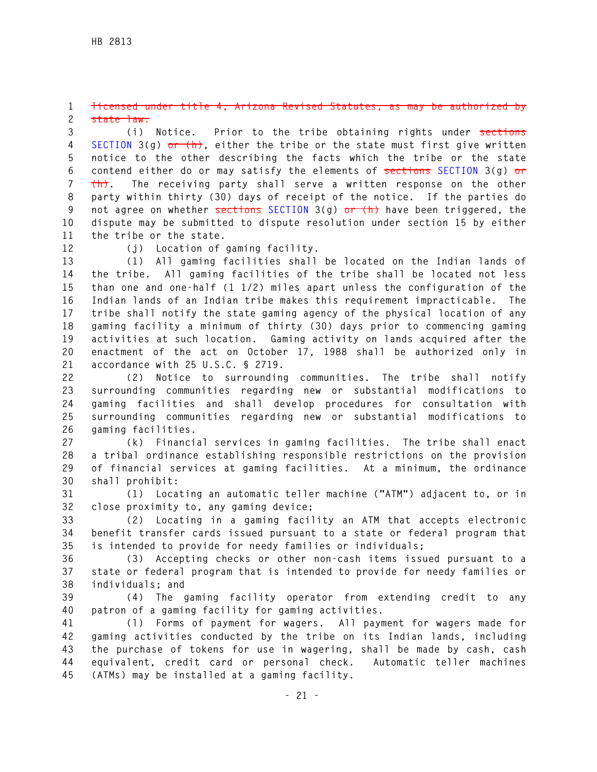#### **1 licensed under title 4, Arizona Revised Statutes, as may be authorized by 2 state law.**

**3 (i) Notice. Prior to the tribe obtaining rights under sections 4 SECTION 3(g) or (h), either the tribe or the state must first give written 5 notice to the other describing the facts which the tribe or the state 6 contend either do or may satisfy the elements of sections SECTION 3(g) or 7 (h). The receiving party shall serve a written response on the other 8 party within thirty (30) days of receipt of the notice. If the parties do 9 not agree on whether sections SECTION 3(g) or (h) have been triggered, the 10 dispute may be submitted to dispute resolution under section 15 by either 11 the tribe or the state.** 

**12 (j) Location of gaming facility.** 

**13 (1) All gaming facilities shall be located on the Indian lands of 14 the tribe. All gaming facilities of the tribe shall be located not less 15 than one and one-half (1 1/2) miles apart unless the configuration of the 16 Indian lands of an Indian tribe makes this requirement impracticable. The 17 tribe shall notify the state gaming agency of the physical location of any 18 gaming facility a minimum of thirty (30) days prior to commencing gaming 19 activities at such location. Gaming activity on lands acquired after the 20 enactment of the act on October 17, 1988 shall be authorized only in 21 accordance with 25 U.S.C. § 2719.** 

**22 (2) Notice to surrounding communities. The tribe shall notify 23 surrounding communities regarding new or substantial modifications to 24 gaming facilities and shall develop procedures for consultation with 25 surrounding communities regarding new or substantial modifications to 26 gaming facilities.** 

**27 (k) Financial services in gaming facilities. The tribe shall enact 28 a tribal ordinance establishing responsible restrictions on the provision 29 of financial services at gaming facilities. At a minimum, the ordinance 30 shall prohibit:** 

**31 (1) Locating an automatic teller machine ("ATM") adjacent to, or in 32 close proximity to, any gaming device;** 

**33 (2) Locating in a gaming facility an ATM that accepts electronic 34 benefit transfer cards issued pursuant to a state or federal program that 35 is intended to provide for needy families or individuals;** 

**36 (3) Accepting checks or other non-cash items issued pursuant to a 37 state or federal program that is intended to provide for needy families or 38 individuals; and** 

**39 (4) The gaming facility operator from extending credit to any 40 patron of a gaming facility for gaming activities.** 

**41 (l) Forms of payment for wagers. All payment for wagers made for 42 gaming activities conducted by the tribe on its Indian lands, including 43 the purchase of tokens for use in wagering, shall be made by cash, cash 44 equivalent, credit card or personal check. Automatic teller machines 45 (ATMs) may be installed at a gaming facility.**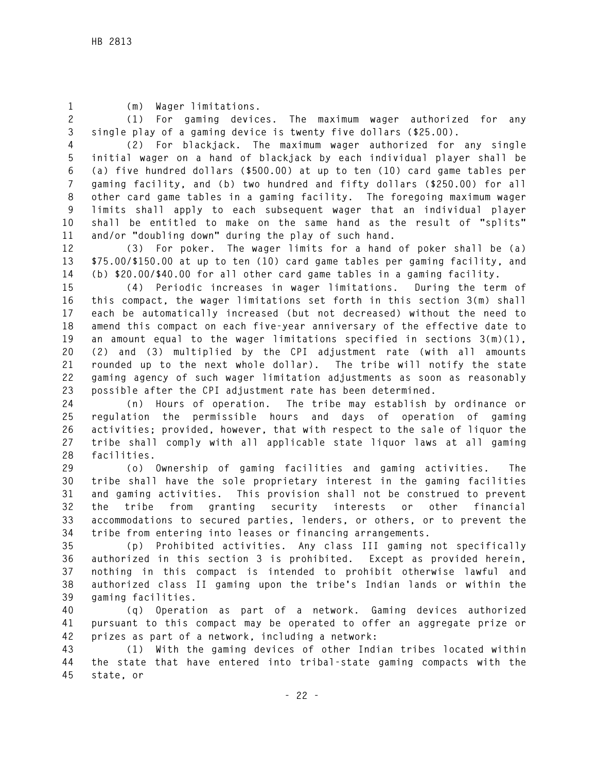**1 (m) Wager limitations.** 

**2 (1) For gaming devices. The maximum wager authorized for any 3 single play of a gaming device is twenty five dollars (\$25.00).** 

**4 (2) For blackjack. The maximum wager authorized for any single 5 initial wager on a hand of blackjack by each individual player shall be 6 (a) five hundred dollars (\$500.00) at up to ten (10) card game tables per 7 gaming facility, and (b) two hundred and fifty dollars (\$250.00) for all 8 other card game tables in a gaming facility. The foregoing maximum wager 9 limits shall apply to each subsequent wager that an individual player 10 shall be entitled to make on the same hand as the result of "splits" 11 and/or "doubling down" during the play of such hand.** 

**12 (3) For poker. The wager limits for a hand of poker shall be (a) 13 \$75.00/\$150.00 at up to ten (10) card game tables per gaming facility, and 14 (b) \$20.00/\$40.00 for all other card game tables in a gaming facility.** 

**15 (4) Periodic increases in wager limitations. During the term of 16 this compact, the wager limitations set forth in this section 3(m) shall 17 each be automatically increased (but not decreased) without the need to 18 amend this compact on each five-year anniversary of the effective date to 19 an amount equal to the wager limitations specified in sections 3(m)(1), 20 (2) and (3) multiplied by the CPI adjustment rate (with all amounts 21 rounded up to the next whole dollar). The tribe will notify the state 22 gaming agency of such wager limitation adjustments as soon as reasonably 23 possible after the CPI adjustment rate has been determined.** 

**24 (n) Hours of operation. The tribe may establish by ordinance or 25 regulation the permissible hours and days of operation of gaming 26 activities; provided, however, that with respect to the sale of liquor the 27 tribe shall comply with all applicable state liquor laws at all gaming 28 facilities.** 

**29 (o) Ownership of gaming facilities and gaming activities. The 30 tribe shall have the sole proprietary interest in the gaming facilities 31 and gaming activities. This provision shall not be construed to prevent 32 the tribe from granting security interests or other financial 33 accommodations to secured parties, lenders, or others, or to prevent the 34 tribe from entering into leases or financing arrangements.** 

**35 (p) Prohibited activities. Any class III gaming not specifically 36 authorized in this section 3 is prohibited. Except as provided herein, 37 nothing in this compact is intended to prohibit otherwise lawful and 38 authorized class II gaming upon the tribe's Indian lands or within the 39 gaming facilities.** 

**40 (q) Operation as part of a network. Gaming devices authorized 41 pursuant to this compact may be operated to offer an aggregate prize or 42 prizes as part of a network, including a network:** 

**43 (1) With the gaming devices of other Indian tribes located within 44 the state that have entered into tribal-state gaming compacts with the 45 state, or**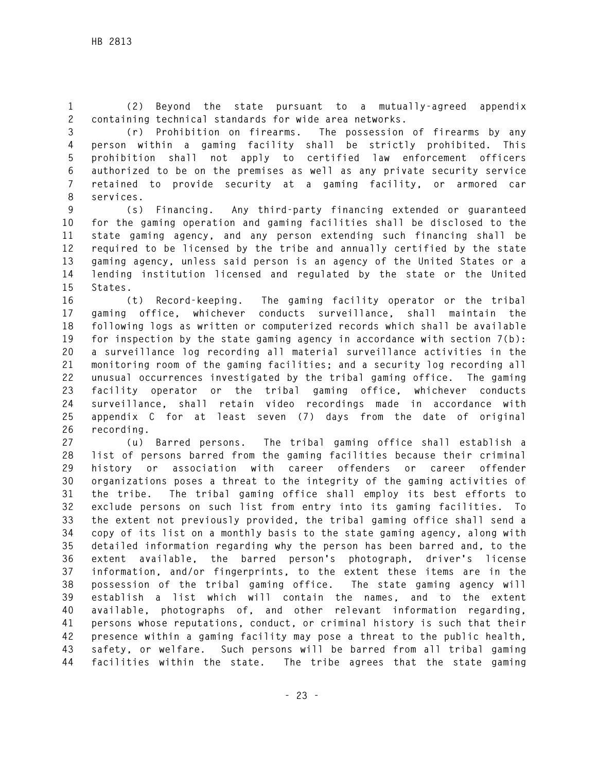**1 (2) Beyond the state pursuant to a mutually-agreed appendix 2 containing technical standards for wide area networks.** 

**3 (r) Prohibition on firearms. The possession of firearms by any 4 person within a gaming facility shall be strictly prohibited. This 5 prohibition shall not apply to certified law enforcement officers 6 authorized to be on the premises as well as any private security service 7 retained to provide security at a gaming facility, or armored car 8 services.** 

**9 (s) Financing. Any third-party financing extended or guaranteed 10 for the gaming operation and gaming facilities shall be disclosed to the 11 state gaming agency, and any person extending such financing shall be 12 required to be licensed by the tribe and annually certified by the state 13 gaming agency, unless said person is an agency of the United States or a 14 lending institution licensed and regulated by the state or the United 15 States.** 

**16 (t) Record-keeping. The gaming facility operator or the tribal 17 gaming office, whichever conducts surveillance, shall maintain the 18 following logs as written or computerized records which shall be available 19 for inspection by the state gaming agency in accordance with section 7(b): 20 a surveillance log recording all material surveillance activities in the 21 monitoring room of the gaming facilities; and a security log recording all 22 unusual occurrences investigated by the tribal gaming office. The gaming 23 facility operator or the tribal gaming office, whichever conducts 24 surveillance, shall retain video recordings made in accordance with 25 appendix C for at least seven (7) days from the date of original 26 recording.** 

**27 (u) Barred persons. The tribal gaming office shall establish a 28 list of persons barred from the gaming facilities because their criminal 29 history or association with career offenders or career offender 30 organizations poses a threat to the integrity of the gaming activities of 31 the tribe. The tribal gaming office shall employ its best efforts to 32 exclude persons on such list from entry into its gaming facilities. To 33 the extent not previously provided, the tribal gaming office shall send a 34 copy of its list on a monthly basis to the state gaming agency, along with 35 detailed information regarding why the person has been barred and, to the 36 extent available, the barred person's photograph, driver's license 37 information, and/or fingerprints, to the extent these items are in the 38 possession of the tribal gaming office. The state gaming agency will 39 establish a list which will contain the names, and to the extent 40 available, photographs of, and other relevant information regarding, 41 persons whose reputations, conduct, or criminal history is such that their 42 presence within a gaming facility may pose a threat to the public health, 43 safety, or welfare. Such persons will be barred from all tribal gaming 44 facilities within the state. The tribe agrees that the state gaming**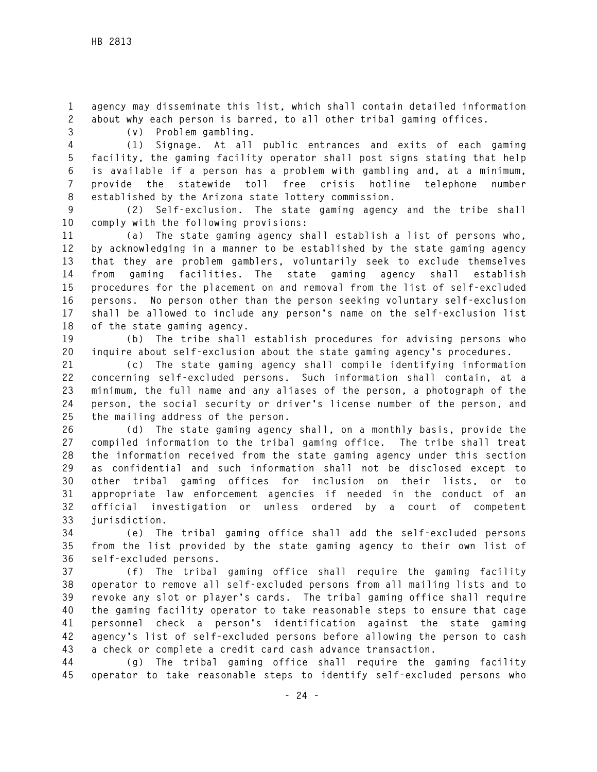**1 agency may disseminate this list, which shall contain detailed information 2 about why each person is barred, to all other tribal gaming offices.** 

**3 (v) Problem gambling.** 

**4 (1) Signage. At all public entrances and exits of each gaming 5 facility, the gaming facility operator shall post signs stating that help 6 is available if a person has a problem with gambling and, at a minimum, 7 provide the statewide toll free crisis hotline telephone number 8 established by the Arizona state lottery commission.** 

**9 (2) Self-exclusion. The state gaming agency and the tribe shall 10 comply with the following provisions:** 

**11 (a) The state gaming agency shall establish a list of persons who, 12 by acknowledging in a manner to be established by the state gaming agency 13 that they are problem gamblers, voluntarily seek to exclude themselves 14 from gaming facilities. The state gaming agency shall establish 15 procedures for the placement on and removal from the list of self-excluded 16 persons. No person other than the person seeking voluntary self-exclusion 17 shall be allowed to include any person's name on the self-exclusion list 18 of the state gaming agency.** 

**19 (b) The tribe shall establish procedures for advising persons who 20 inquire about self-exclusion about the state gaming agency's procedures.** 

**21 (c) The state gaming agency shall compile identifying information 22 concerning self-excluded persons. Such information shall contain, at a 23 minimum, the full name and any aliases of the person, a photograph of the 24 person, the social security or driver's license number of the person, and 25 the mailing address of the person.** 

**26 (d) The state gaming agency shall, on a monthly basis, provide the 27 compiled information to the tribal gaming office. The tribe shall treat 28 the information received from the state gaming agency under this section 29 as confidential and such information shall not be disclosed except to 30 other tribal gaming offices for inclusion on their lists, or to 31 appropriate law enforcement agencies if needed in the conduct of an 32 official investigation or unless ordered by a court of competent 33 jurisdiction.** 

**34 (e) The tribal gaming office shall add the self-excluded persons 35 from the list provided by the state gaming agency to their own list of 36 self-excluded persons.** 

**37 (f) The tribal gaming office shall require the gaming facility 38 operator to remove all self-excluded persons from all mailing lists and to 39 revoke any slot or player's cards. The tribal gaming office shall require 40 the gaming facility operator to take reasonable steps to ensure that cage 41 personnel check a person's identification against the state gaming 42 agency's list of self-excluded persons before allowing the person to cash 43 a check or complete a credit card cash advance transaction.** 

**44 (g) The tribal gaming office shall require the gaming facility 45 operator to take reasonable steps to identify self-excluded persons who**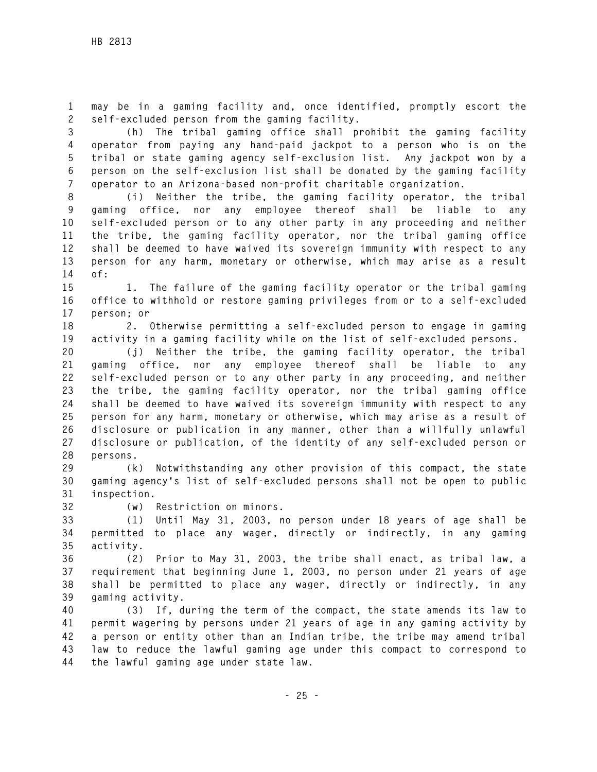**1 may be in a gaming facility and, once identified, promptly escort the 2 self-excluded person from the gaming facility.** 

**3 (h) The tribal gaming office shall prohibit the gaming facility 4 operator from paying any hand-paid jackpot to a person who is on the 5 tribal or state gaming agency self-exclusion list. Any jackpot won by a 6 person on the self-exclusion list shall be donated by the gaming facility 7 operator to an Arizona-based non-profit charitable organization.** 

**8 (i) Neither the tribe, the gaming facility operator, the tribal 9 gaming office, nor any employee thereof shall be liable to any 10 self-excluded person or to any other party in any proceeding and neither 11 the tribe, the gaming facility operator, nor the tribal gaming office 12 shall be deemed to have waived its sovereign immunity with respect to any 13 person for any harm, monetary or otherwise, which may arise as a result 14 of:** 

**15 1. The failure of the gaming facility operator or the tribal gaming 16 office to withhold or restore gaming privileges from or to a self-excluded 17 person; or** 

**18 2. Otherwise permitting a self-excluded person to engage in gaming 19 activity in a gaming facility while on the list of self-excluded persons.** 

**20 (j) Neither the tribe, the gaming facility operator, the tribal 21 gaming office, nor any employee thereof shall be liable to any 22 self-excluded person or to any other party in any proceeding, and neither 23 the tribe, the gaming facility operator, nor the tribal gaming office 24 shall be deemed to have waived its sovereign immunity with respect to any 25 person for any harm, monetary or otherwise, which may arise as a result of 26 disclosure or publication in any manner, other than a willfully unlawful 27 disclosure or publication, of the identity of any self-excluded person or 28 persons.** 

**29 (k) Notwithstanding any other provision of this compact, the state 30 gaming agency's list of self-excluded persons shall not be open to public 31 inspection.** 

**32 (w) Restriction on minors.** 

**33 (1) Until May 31, 2003, no person under 18 years of age shall be 34 permitted to place any wager, directly or indirectly, in any gaming 35 activity.** 

**36 (2) Prior to May 31, 2003, the tribe shall enact, as tribal law, a 37 requirement that beginning June 1, 2003, no person under 21 years of age 38 shall be permitted to place any wager, directly or indirectly, in any 39 gaming activity.** 

**40 (3) If, during the term of the compact, the state amends its law to 41 permit wagering by persons under 21 years of age in any gaming activity by 42 a person or entity other than an Indian tribe, the tribe may amend tribal 43 law to reduce the lawful gaming age under this compact to correspond to 44 the lawful gaming age under state law.**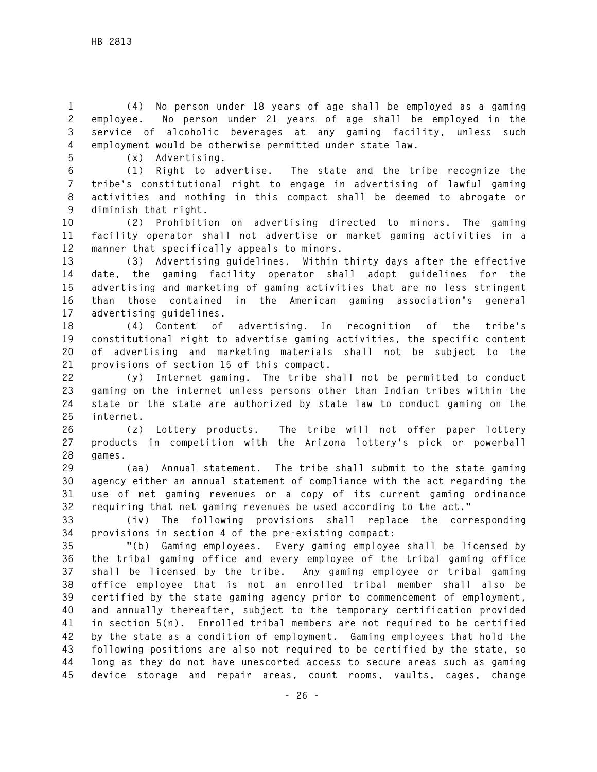**1 (4) No person under 18 years of age shall be employed as a gaming 2 employee. No person under 21 years of age shall be employed in the 3 service of alcoholic beverages at any gaming facility, unless such 4 employment would be otherwise permitted under state law.** 

**5 (x) Advertising.** 

**6 (1) Right to advertise. The state and the tribe recognize the 7 tribe's constitutional right to engage in advertising of lawful gaming 8 activities and nothing in this compact shall be deemed to abrogate or 9 diminish that right.** 

**10 (2) Prohibition on advertising directed to minors. The gaming 11 facility operator shall not advertise or market gaming activities in a 12 manner that specifically appeals to minors.** 

**13 (3) Advertising guidelines. Within thirty days after the effective 14 date, the gaming facility operator shall adopt guidelines for the 15 advertising and marketing of gaming activities that are no less stringent 16 than those contained in the American gaming association's general 17 advertising guidelines.** 

**18 (4) Content of advertising. In recognition of the tribe's 19 constitutional right to advertise gaming activities, the specific content 20 of advertising and marketing materials shall not be subject to the 21 provisions of section 15 of this compact.** 

**22 (y) Internet gaming. The tribe shall not be permitted to conduct 23 gaming on the internet unless persons other than Indian tribes within the 24 state or the state are authorized by state law to conduct gaming on the 25 internet.** 

**26 (z) Lottery products. The tribe will not offer paper lottery 27 products in competition with the Arizona lottery's pick or powerball 28 games.** 

**29 (aa) Annual statement. The tribe shall submit to the state gaming 30 agency either an annual statement of compliance with the act regarding the 31 use of net gaming revenues or a copy of its current gaming ordinance 32 requiring that net gaming revenues be used according to the act."** 

**33 (iv) The following provisions shall replace the corresponding 34 provisions in section 4 of the pre-existing compact:** 

**35 "(b) Gaming employees. Every gaming employee shall be licensed by 36 the tribal gaming office and every employee of the tribal gaming office 37 shall be licensed by the tribe. Any gaming employee or tribal gaming 38 office employee that is not an enrolled tribal member shall also be 39 certified by the state gaming agency prior to commencement of employment, 40 and annually thereafter, subject to the temporary certification provided 41 in section 5(n). Enrolled tribal members are not required to be certified 42 by the state as a condition of employment. Gaming employees that hold the 43 following positions are also not required to be certified by the state, so 44 long as they do not have unescorted access to secure areas such as gaming 45 device storage and repair areas, count rooms, vaults, cages, change**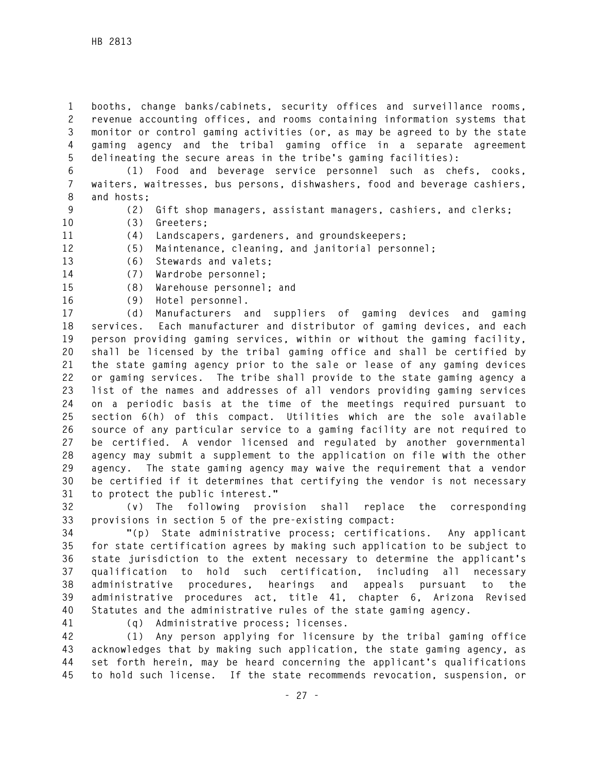**1 booths, change banks/cabinets, security offices and surveillance rooms, 2 revenue accounting offices, and rooms containing information systems that 3 monitor or control gaming activities (or, as may be agreed to by the state 4 gaming agency and the tribal gaming office in a separate agreement 5 delineating the secure areas in the tribe's gaming facilities):** 

**6 (1) Food and beverage service personnel such as chefs, cooks, 7 waiters, waitresses, bus persons, dishwashers, food and beverage cashiers, 8 and hosts;** 

**9 (2) Gift shop managers, assistant managers, cashiers, and clerks;** 

- **10 (3) Greeters;**
- **11 (4) Landscapers, gardeners, and groundskeepers;**
- **12 (5) Maintenance, cleaning, and janitorial personnel;**
- **13 (6) Stewards and valets;**
- **14 (7) Wardrobe personnel;**
- **15 (8) Warehouse personnel; and**
- **16 (9) Hotel personnel.**

**17 (d) Manufacturers and suppliers of gaming devices and gaming 18 services. Each manufacturer and distributor of gaming devices, and each 19 person providing gaming services, within or without the gaming facility, 20 shall be licensed by the tribal gaming office and shall be certified by 21 the state gaming agency prior to the sale or lease of any gaming devices 22 or gaming services. The tribe shall provide to the state gaming agency a 23 list of the names and addresses of all vendors providing gaming services 24 on a periodic basis at the time of the meetings required pursuant to 25 section 6(h) of this compact. Utilities which are the sole available 26 source of any particular service to a gaming facility are not required to 27 be certified. A vendor licensed and regulated by another governmental 28 agency may submit a supplement to the application on file with the other 29 agency. The state gaming agency may waive the requirement that a vendor 30 be certified if it determines that certifying the vendor is not necessary 31 to protect the public interest."** 

**32 (v) The following provision shall replace the corresponding 33 provisions in section 5 of the pre-existing compact:** 

**34 "(p) State administrative process; certifications. Any applicant 35 for state certification agrees by making such application to be subject to 36 state jurisdiction to the extent necessary to determine the applicant's 37 qualification to hold such certification, including all necessary 38 administrative procedures, hearings and appeals pursuant to the 39 administrative procedures act, title 41, chapter 6, Arizona Revised 40 Statutes and the administrative rules of the state gaming agency.** 

**41 (q) Administrative process; licenses.** 

**42 (1) Any person applying for licensure by the tribal gaming office 43 acknowledges that by making such application, the state gaming agency, as 44 set forth herein, may be heard concerning the applicant's qualifications 45 to hold such license. If the state recommends revocation, suspension, or**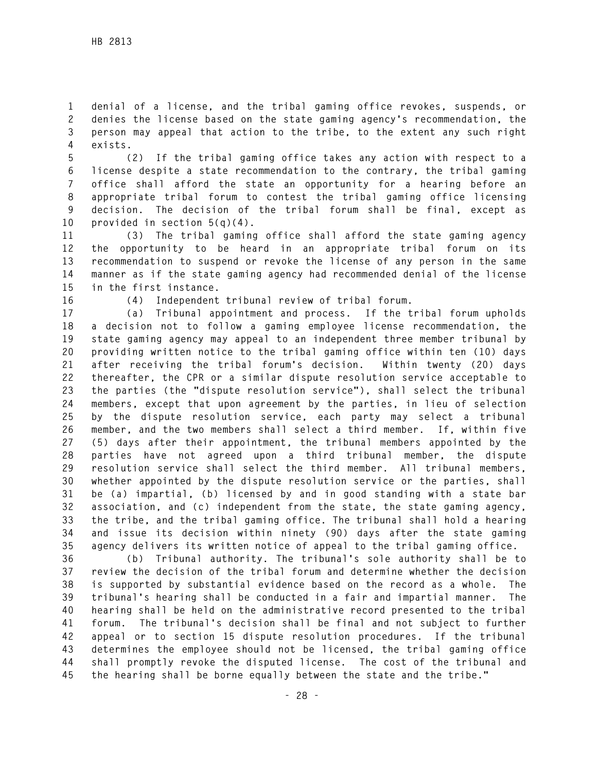**1 denial of a license, and the tribal gaming office revokes, suspends, or 2 denies the license based on the state gaming agency's recommendation, the 3 person may appeal that action to the tribe, to the extent any such right 4 exists.** 

**5 (2) If the tribal gaming office takes any action with respect to a 6 license despite a state recommendation to the contrary, the tribal gaming 7 office shall afford the state an opportunity for a hearing before an 8 appropriate tribal forum to contest the tribal gaming office licensing 9 decision. The decision of the tribal forum shall be final, except as 10 provided in section 5(q)(4).** 

**11 (3) The tribal gaming office shall afford the state gaming agency 12 the opportunity to be heard in an appropriate tribal forum on its 13 recommendation to suspend or revoke the license of any person in the same 14 manner as if the state gaming agency had recommended denial of the license 15 in the first instance.** 

**16 (4) Independent tribunal review of tribal forum.** 

**17 (a) Tribunal appointment and process. If the tribal forum upholds 18 a decision not to follow a gaming employee license recommendation, the 19 state gaming agency may appeal to an independent three member tribunal by 20 providing written notice to the tribal gaming office within ten (10) days 21 after receiving the tribal forum's decision. Within twenty (20) days 22 thereafter, the CPR or a similar dispute resolution service acceptable to 23 the parties (the "dispute resolution service"), shall select the tribunal 24 members, except that upon agreement by the parties, in lieu of selection 25 by the dispute resolution service, each party may select a tribunal 26 member, and the two members shall select a third member. If, within five 27 (5) days after their appointment, the tribunal members appointed by the 28 parties have not agreed upon a third tribunal member, the dispute 29 resolution service shall select the third member. All tribunal members, 30 whether appointed by the dispute resolution service or the parties, shall 31 be (a) impartial, (b) licensed by and in good standing with a state bar 32 association, and (c) independent from the state, the state gaming agency, 33 the tribe, and the tribal gaming office. The tribunal shall hold a hearing 34 and issue its decision within ninety (90) days after the state gaming 35 agency delivers its written notice of appeal to the tribal gaming office.** 

**36 (b) Tribunal authority. The tribunal's sole authority shall be to 37 review the decision of the tribal forum and determine whether the decision 38 is supported by substantial evidence based on the record as a whole. The 39 tribunal's hearing shall be conducted in a fair and impartial manner. The 40 hearing shall be held on the administrative record presented to the tribal 41 forum. The tribunal's decision shall be final and not subject to further 42 appeal or to section 15 dispute resolution procedures. If the tribunal 43 determines the employee should not be licensed, the tribal gaming office 44 shall promptly revoke the disputed license. The cost of the tribunal and 45 the hearing shall be borne equally between the state and the tribe."**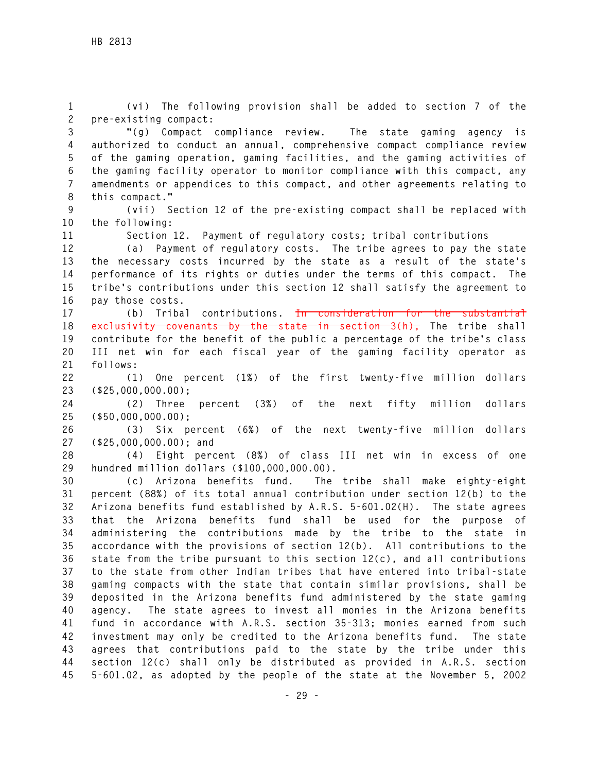**1 (vi) The following provision shall be added to section 7 of the 2 pre-existing compact:** 

**3 "(g) Compact compliance review. The state gaming agency is 4 authorized to conduct an annual, comprehensive compact compliance review 5 of the gaming operation, gaming facilities, and the gaming activities of 6 the gaming facility operator to monitor compliance with this compact, any 7 amendments or appendices to this compact, and other agreements relating to 8 this compact."** 

**9 (vii) Section 12 of the pre-existing compact shall be replaced with 10 the following:** 

**11 Section 12. Payment of regulatory costs; tribal contributions** 

**12 (a) Payment of regulatory costs. The tribe agrees to pay the state 13 the necessary costs incurred by the state as a result of the state's 14 performance of its rights or duties under the terms of this compact. The 15 tribe's contributions under this section 12 shall satisfy the agreement to 16 pay those costs.** 

**17 (b) Tribal contributions. In consideration for the substantial 18 exclusivity covenants by the state in section 3(h), The tribe shall 19 contribute for the benefit of the public a percentage of the tribe's class 20 III net win for each fiscal year of the gaming facility operator as 21 follows:** 

**22 (1) One percent (1%) of the first twenty-five million dollars 23 (\$25,000,000.00);** 

**24 (2) Three percent (3%) of the next fifty million dollars 25 (\$50,000,000.00);** 

**26 (3) Six percent (6%) of the next twenty-five million dollars 27 (\$25,000,000.00); and** 

**28 (4) Eight percent (8%) of class III net win in excess of one 29 hundred million dollars (\$100,000,000.00).** 

**30 (c) Arizona benefits fund. The tribe shall make eighty-eight 31 percent (88%) of its total annual contribution under section 12(b) to the 32 Arizona benefits fund established by A.R.S. 5-601.02(H). The state agrees 33 that the Arizona benefits fund shall be used for the purpose of 34 administering the contributions made by the tribe to the state in 35 accordance with the provisions of section 12(b). All contributions to the 36 state from the tribe pursuant to this section 12(c), and all contributions 37 to the state from other Indian tribes that have entered into tribal-state 38 gaming compacts with the state that contain similar provisions, shall be 39 deposited in the Arizona benefits fund administered by the state gaming 40 agency. The state agrees to invest all monies in the Arizona benefits 41 fund in accordance with A.R.S. section 35-313; monies earned from such 42 investment may only be credited to the Arizona benefits fund. The state 43 agrees that contributions paid to the state by the tribe under this 44 section 12(c) shall only be distributed as provided in A.R.S. section 45 5-601.02, as adopted by the people of the state at the November 5, 2002**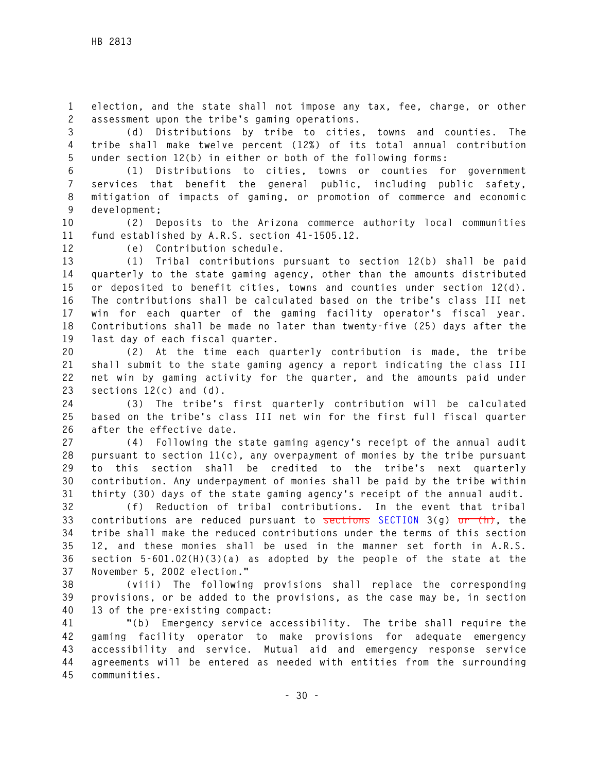**1 election, and the state shall not impose any tax, fee, charge, or other 2 assessment upon the tribe's gaming operations.** 

**3 (d) Distributions by tribe to cities, towns and counties. The 4 tribe shall make twelve percent (12%) of its total annual contribution 5 under section 12(b) in either or both of the following forms:** 

**6 (1) Distributions to cities, towns or counties for government 7 services that benefit the general public, including public safety, 8 mitigation of impacts of gaming, or promotion of commerce and economic 9 development;** 

**10 (2) Deposits to the Arizona commerce authority local communities 11 fund established by A.R.S. section 41-1505.12.** 

**12 (e) Contribution schedule.** 

**13 (1) Tribal contributions pursuant to section 12(b) shall be paid 14 quarterly to the state gaming agency, other than the amounts distributed 15 or deposited to benefit cities, towns and counties under section 12(d). 16 The contributions shall be calculated based on the tribe's class III net 17 win for each quarter of the gaming facility operator's fiscal year. 18 Contributions shall be made no later than twenty-five (25) days after the 19 last day of each fiscal quarter.** 

**20 (2) At the time each quarterly contribution is made, the tribe 21 shall submit to the state gaming agency a report indicating the class III 22 net win by gaming activity for the quarter, and the amounts paid under 23 sections 12(c) and (d).** 

**24 (3) The tribe's first quarterly contribution will be calculated 25 based on the tribe's class III net win for the first full fiscal quarter 26 after the effective date.** 

**27 (4) Following the state gaming agency's receipt of the annual audit 28 pursuant to section 11(c), any overpayment of monies by the tribe pursuant 29 to this section shall be credited to the tribe's next quarterly 30 contribution. Any underpayment of monies shall be paid by the tribe within 31 thirty (30) days of the state gaming agency's receipt of the annual audit.** 

**32 (f) Reduction of tribal contributions. In the event that tribal 33 contributions are reduced pursuant to sections SECTION 3(g) or (h), the 34 tribe shall make the reduced contributions under the terms of this section 35 12, and these monies shall be used in the manner set forth in A.R.S. 36 section 5-601.02(H)(3)(a) as adopted by the people of the state at the 37 November 5, 2002 election."** 

**38 (viii) The following provisions shall replace the corresponding 39 provisions, or be added to the provisions, as the case may be, in section 40 13 of the pre-existing compact:** 

**41 "(b) Emergency service accessibility. The tribe shall require the 42 gaming facility operator to make provisions for adequate emergency 43 accessibility and service. Mutual aid and emergency response service 44 agreements will be entered as needed with entities from the surrounding 45 communities.**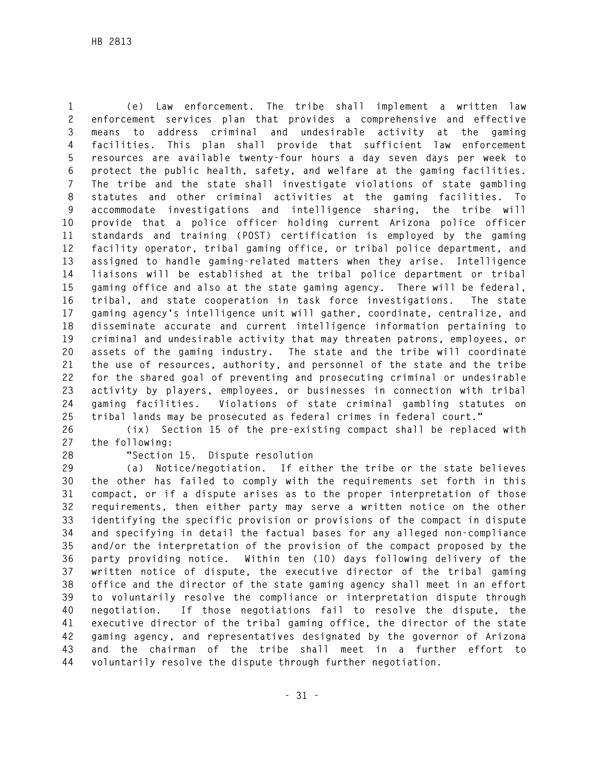**1 (e) Law enforcement. The tribe shall implement a written law 2 enforcement services plan that provides a comprehensive and effective 3 means to address criminal and undesirable activity at the gaming 4 facilities. This plan shall provide that sufficient law enforcement 5 resources are available twenty-four hours a day seven days per week to 6 protect the public health, safety, and welfare at the gaming facilities. 7 The tribe and the state shall investigate violations of state gambling 8 statutes and other criminal activities at the gaming facilities. To 9 accommodate investigations and intelligence sharing, the tribe will 10 provide that a police officer holding current Arizona police officer 11 standards and training (POST) certification is employed by the gaming 12 facility operator, tribal gaming office, or tribal police department, and 13 assigned to handle gaming-related matters when they arise. Intelligence 14 liaisons will be established at the tribal police department or tribal 15 gaming office and also at the state gaming agency. There will be federal, 16 tribal, and state cooperation in task force investigations. The state 17 gaming agency's intelligence unit will gather, coordinate, centralize, and 18 disseminate accurate and current intelligence information pertaining to 19 criminal and undesirable activity that may threaten patrons, employees, or 20 assets of the gaming industry. The state and the tribe will coordinate 21 the use of resources, authority, and personnel of the state and the tribe 22 for the shared goal of preventing and prosecuting criminal or undesirable 23 activity by players, employees, or businesses in connection with tribal 24 gaming facilities. Violations of state criminal gambling statutes on 25 tribal lands may be prosecuted as federal crimes in federal court."** 

**26 (ix) Section 15 of the pre-existing compact shall be replaced with 27 the following:** 

**28 "Section 15. Dispute resolution** 

**29 (a) Notice/negotiation. If either the tribe or the state believes 30 the other has failed to comply with the requirements set forth in this 31 compact, or if a dispute arises as to the proper interpretation of those 32 requirements, then either party may serve a written notice on the other 33 identifying the specific provision or provisions of the compact in dispute 34 and specifying in detail the factual bases for any alleged non-compliance 35 and/or the interpretation of the provision of the compact proposed by the 36 party providing notice. Within ten (10) days following delivery of the 37 written notice of dispute, the executive director of the tribal gaming 38 office and the director of the state gaming agency shall meet in an effort 39 to voluntarily resolve the compliance or interpretation dispute through 40 negotiation. If those negotiations fail to resolve the dispute, the 41 executive director of the tribal gaming office, the director of the state 42 gaming agency, and representatives designated by the governor of Arizona 43 and the chairman of the tribe shall meet in a further effort to 44 voluntarily resolve the dispute through further negotiation.**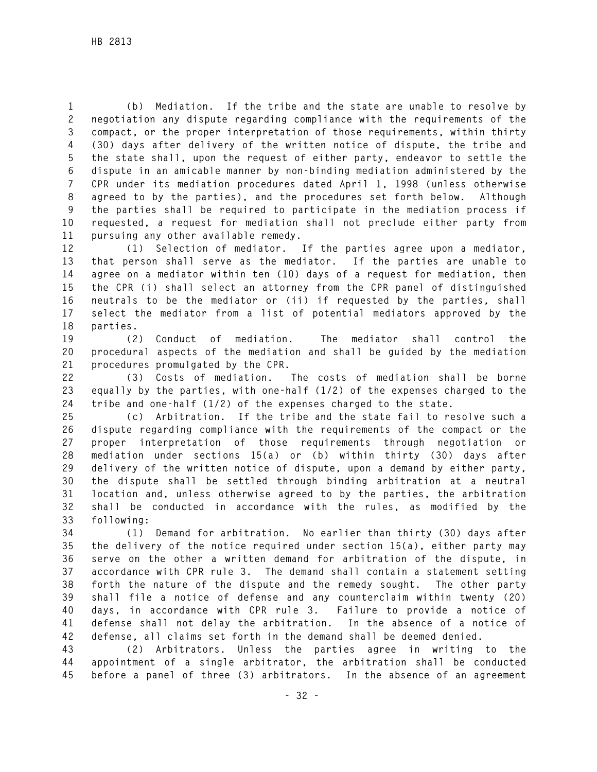**1 (b) Mediation. If the tribe and the state are unable to resolve by 2 negotiation any dispute regarding compliance with the requirements of the 3 compact, or the proper interpretation of those requirements, within thirty 4 (30) days after delivery of the written notice of dispute, the tribe and 5 the state shall, upon the request of either party, endeavor to settle the 6 dispute in an amicable manner by non-binding mediation administered by the 7 CPR under its mediation procedures dated April 1, 1998 (unless otherwise 8 agreed to by the parties), and the procedures set forth below. Although 9 the parties shall be required to participate in the mediation process if 10 requested, a request for mediation shall not preclude either party from 11 pursuing any other available remedy.** 

**12 (1) Selection of mediator. If the parties agree upon a mediator, 13 that person shall serve as the mediator. If the parties are unable to 14 agree on a mediator within ten (10) days of a request for mediation, then 15 the CPR (i) shall select an attorney from the CPR panel of distinguished 16 neutrals to be the mediator or (ii) if requested by the parties, shall 17 select the mediator from a list of potential mediators approved by the 18 parties.** 

**19 (2) Conduct of mediation. The mediator shall control the 20 procedural aspects of the mediation and shall be guided by the mediation 21 procedures promulgated by the CPR.** 

**22 (3) Costs of mediation. The costs of mediation shall be borne 23 equally by the parties, with one-half (1/2) of the expenses charged to the 24 tribe and one-half (1/2) of the expenses charged to the state.** 

**25 (c) Arbitration. If the tribe and the state fail to resolve such a 26 dispute regarding compliance with the requirements of the compact or the 27 proper interpretation of those requirements through negotiation or 28 mediation under sections 15(a) or (b) within thirty (30) days after 29 delivery of the written notice of dispute, upon a demand by either party, 30 the dispute shall be settled through binding arbitration at a neutral 31 location and, unless otherwise agreed to by the parties, the arbitration 32 shall be conducted in accordance with the rules, as modified by the 33 following:** 

**34 (1) Demand for arbitration. No earlier than thirty (30) days after 35 the delivery of the notice required under section 15(a), either party may 36 serve on the other a written demand for arbitration of the dispute, in 37 accordance with CPR rule 3. The demand shall contain a statement setting 38 forth the nature of the dispute and the remedy sought. The other party 39 shall file a notice of defense and any counterclaim within twenty (20) 40 days, in accordance with CPR rule 3. Failure to provide a notice of 41 defense shall not delay the arbitration. In the absence of a notice of 42 defense, all claims set forth in the demand shall be deemed denied.** 

**43 (2) Arbitrators. Unless the parties agree in writing to the 44 appointment of a single arbitrator, the arbitration shall be conducted 45 before a panel of three (3) arbitrators. In the absence of an agreement**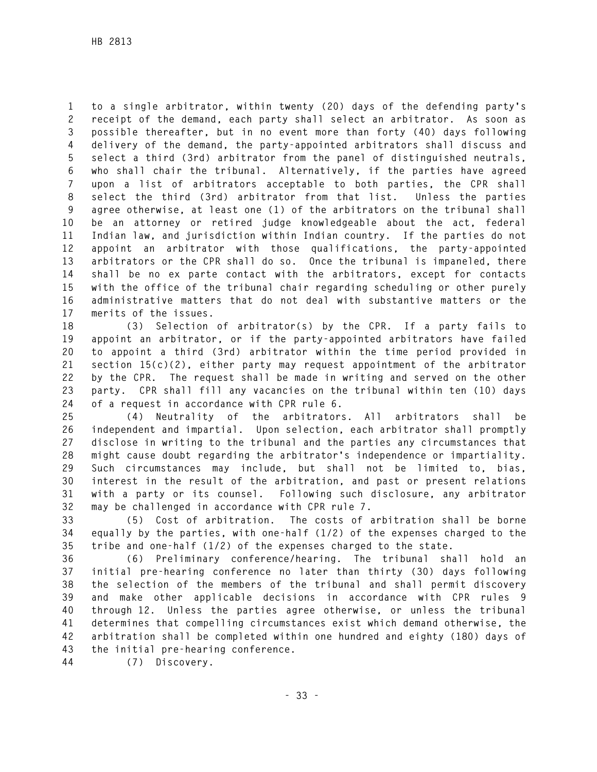**1 to a single arbitrator, within twenty (20) days of the defending party's 2 receipt of the demand, each party shall select an arbitrator. As soon as 3 possible thereafter, but in no event more than forty (40) days following 4 delivery of the demand, the party-appointed arbitrators shall discuss and 5 select a third (3rd) arbitrator from the panel of distinguished neutrals, 6 who shall chair the tribunal. Alternatively, if the parties have agreed 7 upon a list of arbitrators acceptable to both parties, the CPR shall 8 select the third (3rd) arbitrator from that list. Unless the parties 9 agree otherwise, at least one (1) of the arbitrators on the tribunal shall 10 be an attorney or retired judge knowledgeable about the act, federal 11 Indian law, and jurisdiction within Indian country. If the parties do not 12 appoint an arbitrator with those qualifications, the party-appointed 13 arbitrators or the CPR shall do so. Once the tribunal is impaneled, there 14 shall be no ex parte contact with the arbitrators, except for contacts 15 with the office of the tribunal chair regarding scheduling or other purely 16 administrative matters that do not deal with substantive matters or the 17 merits of the issues.** 

**18 (3) Selection of arbitrator(s) by the CPR. If a party fails to 19 appoint an arbitrator, or if the party-appointed arbitrators have failed 20 to appoint a third (3rd) arbitrator within the time period provided in 21 section 15(c)(2), either party may request appointment of the arbitrator 22 by the CPR. The request shall be made in writing and served on the other 23 party. CPR shall fill any vacancies on the tribunal within ten (10) days 24 of a request in accordance with CPR rule 6.** 

**25 (4) Neutrality of the arbitrators. All arbitrators shall be 26 independent and impartial. Upon selection, each arbitrator shall promptly 27 disclose in writing to the tribunal and the parties any circumstances that 28 might cause doubt regarding the arbitrator's independence or impartiality. 29 Such circumstances may include, but shall not be limited to, bias, 30 interest in the result of the arbitration, and past or present relations 31 with a party or its counsel. Following such disclosure, any arbitrator 32 may be challenged in accordance with CPR rule 7.** 

**33 (5) Cost of arbitration. The costs of arbitration shall be borne 34 equally by the parties, with one-half (1/2) of the expenses charged to the 35 tribe and one-half (1/2) of the expenses charged to the state.** 

**36 (6) Preliminary conference/hearing. The tribunal shall hold an 37 initial pre-hearing conference no later than thirty (30) days following 38 the selection of the members of the tribunal and shall permit discovery 39 and make other applicable decisions in accordance with CPR rules 9 40 through 12. Unless the parties agree otherwise, or unless the tribunal 41 determines that compelling circumstances exist which demand otherwise, the 42 arbitration shall be completed within one hundred and eighty (180) days of 43 the initial pre-hearing conference.** 

**44 (7) Discovery.**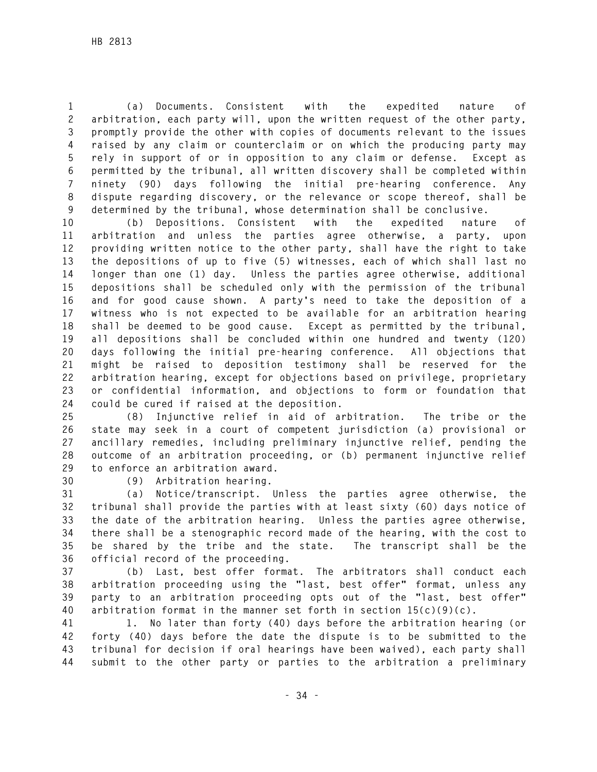**1 (a) Documents. Consistent with the expedited nature of 2 arbitration, each party will, upon the written request of the other party, 3 promptly provide the other with copies of documents relevant to the issues 4 raised by any claim or counterclaim or on which the producing party may 5 rely in support of or in opposition to any claim or defense. Except as 6 permitted by the tribunal, all written discovery shall be completed within 7 ninety (90) days following the initial pre-hearing conference. Any 8 dispute regarding discovery, or the relevance or scope thereof, shall be 9 determined by the tribunal, whose determination shall be conclusive.** 

**10 (b) Depositions. Consistent with the expedited nature of 11 arbitration and unless the parties agree otherwise, a party, upon 12 providing written notice to the other party, shall have the right to take 13 the depositions of up to five (5) witnesses, each of which shall last no 14 longer than one (1) day. Unless the parties agree otherwise, additional 15 depositions shall be scheduled only with the permission of the tribunal 16 and for good cause shown. A party's need to take the deposition of a 17 witness who is not expected to be available for an arbitration hearing 18 shall be deemed to be good cause. Except as permitted by the tribunal, 19 all depositions shall be concluded within one hundred and twenty (120) 20 days following the initial pre-hearing conference. All objections that 21 might be raised to deposition testimony shall be reserved for the 22 arbitration hearing, except for objections based on privilege, proprietary 23 or confidential information, and objections to form or foundation that 24 could be cured if raised at the deposition.** 

**25 (8) Injunctive relief in aid of arbitration. The tribe or the 26 state may seek in a court of competent jurisdiction (a) provisional or 27 ancillary remedies, including preliminary injunctive relief, pending the 28 outcome of an arbitration proceeding, or (b) permanent injunctive relief 29 to enforce an arbitration award.** 

**30 (9) Arbitration hearing.** 

**31 (a) Notice/transcript. Unless the parties agree otherwise, the 32 tribunal shall provide the parties with at least sixty (60) days notice of 33 the date of the arbitration hearing. Unless the parties agree otherwise, 34 there shall be a stenographic record made of the hearing, with the cost to 35 be shared by the tribe and the state. The transcript shall be the 36 official record of the proceeding.** 

**37 (b) Last, best offer format. The arbitrators shall conduct each 38 arbitration proceeding using the "last, best offer" format, unless any 39 party to an arbitration proceeding opts out of the "last, best offer" 40 arbitration format in the manner set forth in section 15(c)(9)(c).** 

**41 1. No later than forty (40) days before the arbitration hearing (or 42 forty (40) days before the date the dispute is to be submitted to the 43 tribunal for decision if oral hearings have been waived), each party shall 44 submit to the other party or parties to the arbitration a preliminary**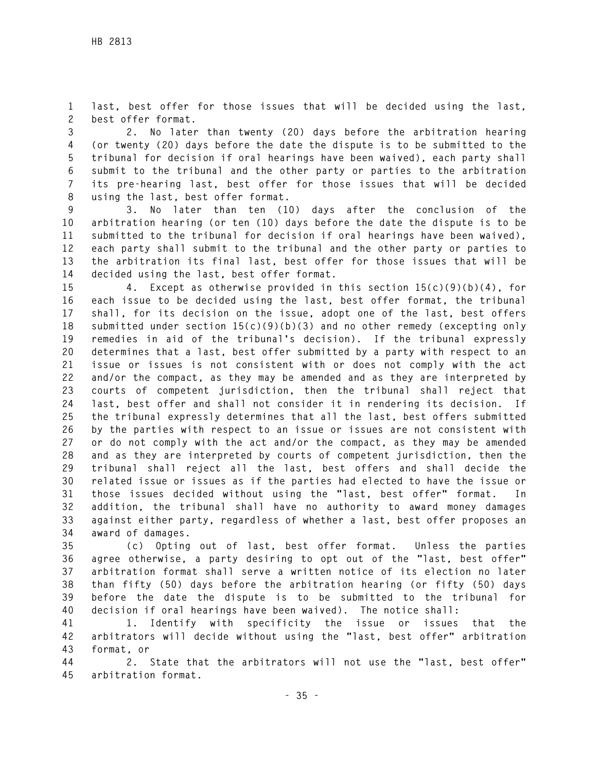**1 last, best offer for those issues that will be decided using the last, 2 best offer format.** 

**3 2. No later than twenty (20) days before the arbitration hearing 4 (or twenty (20) days before the date the dispute is to be submitted to the 5 tribunal for decision if oral hearings have been waived), each party shall 6 submit to the tribunal and the other party or parties to the arbitration 7 its pre-hearing last, best offer for those issues that will be decided 8 using the last, best offer format.** 

**9 3. No later than ten (10) days after the conclusion of the 10 arbitration hearing (or ten (10) days before the date the dispute is to be 11 submitted to the tribunal for decision if oral hearings have been waived), 12 each party shall submit to the tribunal and the other party or parties to 13 the arbitration its final last, best offer for those issues that will be 14 decided using the last, best offer format.** 

**15 4. Except as otherwise provided in this section 15(c)(9)(b)(4), for 16 each issue to be decided using the last, best offer format, the tribunal 17 shall, for its decision on the issue, adopt one of the last, best offers 18 submitted under section 15(c)(9)(b)(3) and no other remedy (excepting only 19 remedies in aid of the tribunal's decision). If the tribunal expressly 20 determines that a last, best offer submitted by a party with respect to an 21 issue or issues is not consistent with or does not comply with the act 22 and/or the compact, as they may be amended and as they are interpreted by 23 courts of competent jurisdiction, then the tribunal shall reject that 24 last, best offer and shall not consider it in rendering its decision. If 25 the tribunal expressly determines that all the last, best offers submitted 26 by the parties with respect to an issue or issues are not consistent with 27 or do not comply with the act and/or the compact, as they may be amended 28 and as they are interpreted by courts of competent jurisdiction, then the 29 tribunal shall reject all the last, best offers and shall decide the 30 related issue or issues as if the parties had elected to have the issue or 31 those issues decided without using the "last, best offer" format. In 32 addition, the tribunal shall have no authority to award money damages 33 against either party, regardless of whether a last, best offer proposes an 34 award of damages.** 

**35 (c) Opting out of last, best offer format. Unless the parties 36 agree otherwise, a party desiring to opt out of the "last, best offer" 37 arbitration format shall serve a written notice of its election no later 38 than fifty (50) days before the arbitration hearing (or fifty (50) days 39 before the date the dispute is to be submitted to the tribunal for 40 decision if oral hearings have been waived). The notice shall:** 

**41 1. Identify with specificity the issue or issues that the 42 arbitrators will decide without using the "last, best offer" arbitration 43 format, or** 

**44 2. State that the arbitrators will not use the "last, best offer" 45 arbitration format.**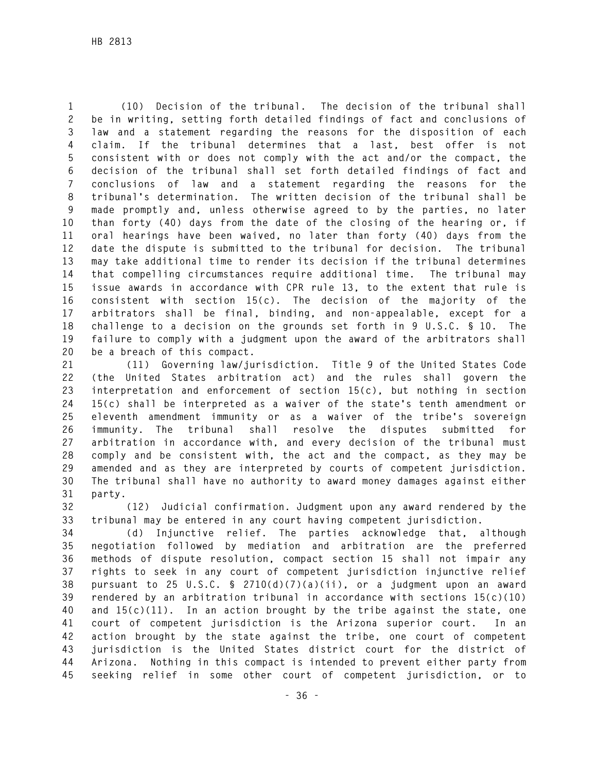**1 (10) Decision of the tribunal. The decision of the tribunal shall 2 be in writing, setting forth detailed findings of fact and conclusions of 3 law and a statement regarding the reasons for the disposition of each 4 claim. If the tribunal determines that a last, best offer is not 5 consistent with or does not comply with the act and/or the compact, the 6 decision of the tribunal shall set forth detailed findings of fact and 7 conclusions of law and a statement regarding the reasons for the 8 tribunal's determination. The written decision of the tribunal shall be 9 made promptly and, unless otherwise agreed to by the parties, no later 10 than forty (40) days from the date of the closing of the hearing or, if 11 oral hearings have been waived, no later than forty (40) days from the 12 date the dispute is submitted to the tribunal for decision. The tribunal 13 may take additional time to render its decision if the tribunal determines 14 that compelling circumstances require additional time. The tribunal may 15 issue awards in accordance with CPR rule 13, to the extent that rule is 16 consistent with section 15(c). The decision of the majority of the 17 arbitrators shall be final, binding, and non-appealable, except for a 18 challenge to a decision on the grounds set forth in 9 U.S.C. § 10. The 19 failure to comply with a judgment upon the award of the arbitrators shall 20 be a breach of this compact.** 

**21 (11) Governing law/jurisdiction. Title 9 of the United States Code 22 (the United States arbitration act) and the rules shall govern the 23 interpretation and enforcement of section 15(c), but nothing in section 24 15(c) shall be interpreted as a waiver of the state's tenth amendment or 25 eleventh amendment immunity or as a waiver of the tribe's sovereign 26 immunity. The tribunal shall resolve the disputes submitted for 27 arbitration in accordance with, and every decision of the tribunal must 28 comply and be consistent with, the act and the compact, as they may be 29 amended and as they are interpreted by courts of competent jurisdiction. 30 The tribunal shall have no authority to award money damages against either 31 party.** 

**32 (12) Judicial confirmation. Judgment upon any award rendered by the 33 tribunal may be entered in any court having competent jurisdiction.** 

**34 (d) Injunctive relief. The parties acknowledge that, although 35 negotiation followed by mediation and arbitration are the preferred 36 methods of dispute resolution, compact section 15 shall not impair any 37 rights to seek in any court of competent jurisdiction injunctive relief 38 pursuant to 25 U.S.C. § 2710(d)(7)(a)(ii), or a judgment upon an award 39 rendered by an arbitration tribunal in accordance with sections 15(c)(10) 40 and 15(c)(11). In an action brought by the tribe against the state, one 41 court of competent jurisdiction is the Arizona superior court. In an 42 action brought by the state against the tribe, one court of competent 43 jurisdiction is the United States district court for the district of 44 Arizona. Nothing in this compact is intended to prevent either party from 45 seeking relief in some other court of competent jurisdiction, or to**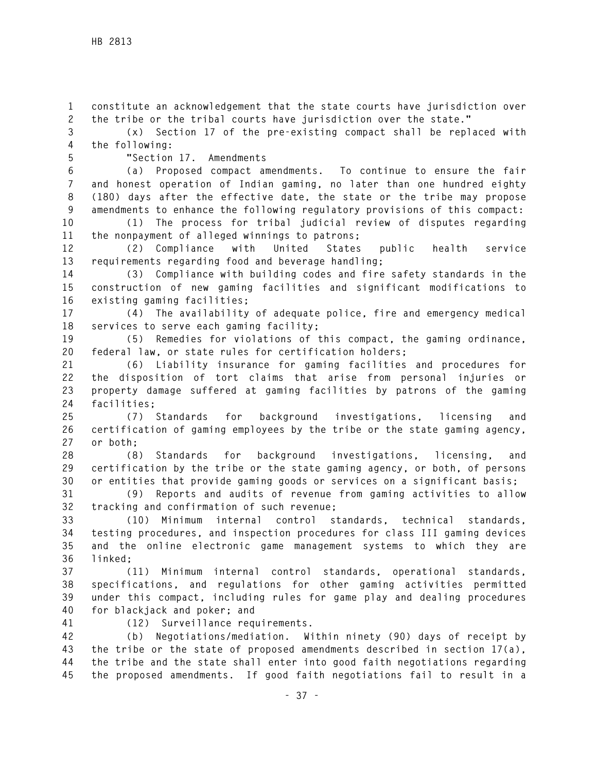**1 constitute an acknowledgement that the state courts have jurisdiction over 2 the tribe or the tribal courts have jurisdiction over the state."** 

**3 (x) Section 17 of the pre-existing compact shall be replaced with 4 the following:** 

## **5 "Section 17. Amendments**

**6 (a) Proposed compact amendments. To continue to ensure the fair 7 and honest operation of Indian gaming, no later than one hundred eighty 8 (180) days after the effective date, the state or the tribe may propose 9 amendments to enhance the following regulatory provisions of this compact:** 

**10 (1) The process for tribal judicial review of disputes regarding 11 the nonpayment of alleged winnings to patrons;** 

**12 (2) Compliance with United States public health service 13 requirements regarding food and beverage handling;** 

**14 (3) Compliance with building codes and fire safety standards in the 15 construction of new gaming facilities and significant modifications to 16 existing gaming facilities;** 

**17 (4) The availability of adequate police, fire and emergency medical 18 services to serve each gaming facility;** 

**19 (5) Remedies for violations of this compact, the gaming ordinance, 20 federal law, or state rules for certification holders;** 

**21 (6) Liability insurance for gaming facilities and procedures for 22 the disposition of tort claims that arise from personal injuries or 23 property damage suffered at gaming facilities by patrons of the gaming 24 facilities;** 

**25 (7) Standards for background investigations, licensing and 26 certification of gaming employees by the tribe or the state gaming agency, 27 or both;** 

**28 (8) Standards for background investigations, licensing, and 29 certification by the tribe or the state gaming agency, or both, of persons 30 or entities that provide gaming goods or services on a significant basis;** 

**31 (9) Reports and audits of revenue from gaming activities to allow 32 tracking and confirmation of such revenue;** 

**33 (10) Minimum internal control standards, technical standards, 34 testing procedures, and inspection procedures for class III gaming devices 35 and the online electronic game management systems to which they are 36 linked;** 

**37 (11) Minimum internal control standards, operational standards, 38 specifications, and regulations for other gaming activities permitted 39 under this compact, including rules for game play and dealing procedures 40 for blackjack and poker; and** 

**41 (12) Surveillance requirements.** 

**42 (b) Negotiations/mediation. Within ninety (90) days of receipt by 43 the tribe or the state of proposed amendments described in section 17(a), 44 the tribe and the state shall enter into good faith negotiations regarding 45 the proposed amendments. If good faith negotiations fail to result in a**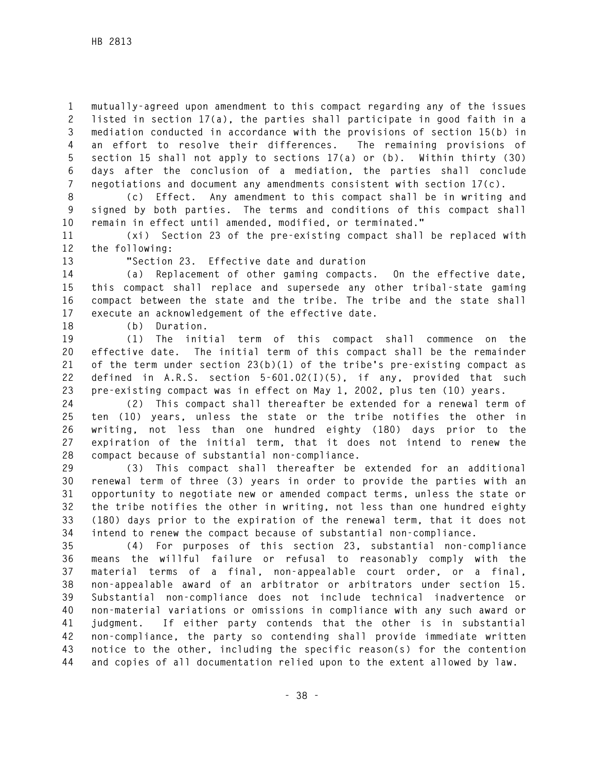**1 mutually-agreed upon amendment to this compact regarding any of the issues 2 listed in section 17(a), the parties shall participate in good faith in a 3 mediation conducted in accordance with the provisions of section 15(b) in 4 an effort to resolve their differences. The remaining provisions of 5 section 15 shall not apply to sections 17(a) or (b). Within thirty (30) 6 days after the conclusion of a mediation, the parties shall conclude 7 negotiations and document any amendments consistent with section 17(c).** 

**8 (c) Effect. Any amendment to this compact shall be in writing and 9 signed by both parties. The terms and conditions of this compact shall 10 remain in effect until amended, modified, or terminated."** 

**11 (xi) Section 23 of the pre-existing compact shall be replaced with 12 the following:** 

**13 "Section 23. Effective date and duration** 

**14 (a) Replacement of other gaming compacts. On the effective date, 15 this compact shall replace and supersede any other tribal-state gaming 16 compact between the state and the tribe. The tribe and the state shall 17 execute an acknowledgement of the effective date.** 

**18 (b) Duration.** 

**19 (1) The initial term of this compact shall commence on the 20 effective date. The initial term of this compact shall be the remainder 21 of the term under section 23(b)(1) of the tribe's pre-existing compact as 22 defined in A.R.S. section 5-601.02(I)(5), if any, provided that such 23 pre-existing compact was in effect on May 1, 2002, plus ten (10) years.** 

**24 (2) This compact shall thereafter be extended for a renewal term of 25 ten (10) years, unless the state or the tribe notifies the other in 26 writing, not less than one hundred eighty (180) days prior to the 27 expiration of the initial term, that it does not intend to renew the 28 compact because of substantial non-compliance.** 

**29 (3) This compact shall thereafter be extended for an additional 30 renewal term of three (3) years in order to provide the parties with an 31 opportunity to negotiate new or amended compact terms, unless the state or 32 the tribe notifies the other in writing, not less than one hundred eighty 33 (180) days prior to the expiration of the renewal term, that it does not 34 intend to renew the compact because of substantial non-compliance.** 

**35 (4) For purposes of this section 23, substantial non-compliance 36 means the willful failure or refusal to reasonably comply with the 37 material terms of a final, non-appealable court order, or a final, 38 non-appealable award of an arbitrator or arbitrators under section 15. 39 Substantial non-compliance does not include technical inadvertence or 40 non-material variations or omissions in compliance with any such award or 41 judgment. If either party contends that the other is in substantial 42 non-compliance, the party so contending shall provide immediate written 43 notice to the other, including the specific reason(s) for the contention 44 and copies of all documentation relied upon to the extent allowed by law.**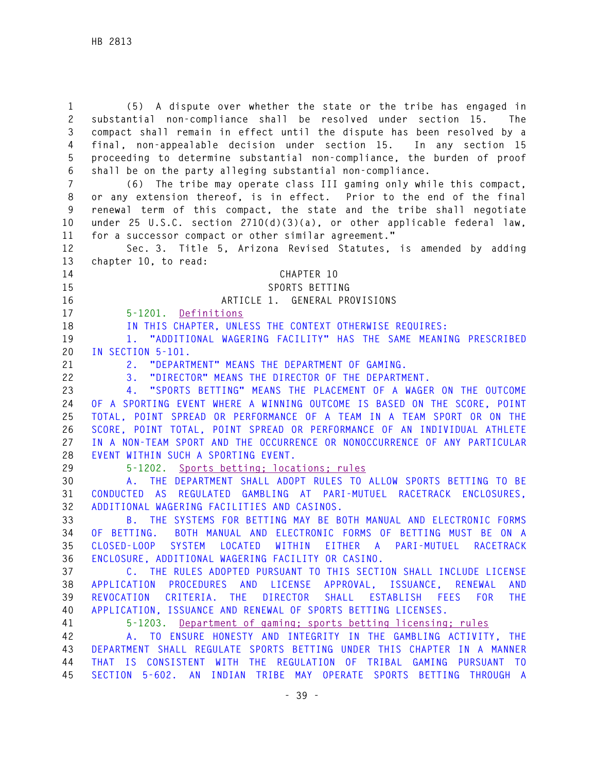**1 (5) A dispute over whether the state or the tribe has engaged in 2 substantial non-compliance shall be resolved under section 15. The 3 compact shall remain in effect until the dispute has been resolved by a 4 final, non-appealable decision under section 15. In any section 15 5 proceeding to determine substantial non-compliance, the burden of proof 6 shall be on the party alleging substantial non-compliance. 7 (6) The tribe may operate class III gaming only while this compact, 8 or any extension thereof, is in effect. Prior to the end of the final 9 renewal term of this compact, the state and the tribe shall negotiate 10 under 25 U.S.C. section 2710(d)(3)(a), or other applicable federal law, 11 for a successor compact or other similar agreement." 12 Sec. 3. Title 5, Arizona Revised Statutes, is amended by adding 13 chapter 10, to read: 14 CHAPTER 10 15 SPORTS BETTING 16 ARTICLE 1. GENERAL PROVISIONS 17 5-1201. Definitions 18 IN THIS CHAPTER, UNLESS THE CONTEXT OTHERWISE REQUIRES: 19 1. "ADDITIONAL WAGERING FACILITY" HAS THE SAME MEANING PRESCRIBED 20 IN SECTION 5-101. 21 2. "DEPARTMENT" MEANS THE DEPARTMENT OF GAMING. 22 3. "DIRECTOR" MEANS THE DIRECTOR OF THE DEPARTMENT. 23 4. "SPORTS BETTING" MEANS THE PLACEMENT OF A WAGER ON THE OUTCOME 24 OF A SPORTING EVENT WHERE A WINNING OUTCOME IS BASED ON THE SCORE, POINT 25 TOTAL, POINT SPREAD OR PERFORMANCE OF A TEAM IN A TEAM SPORT OR ON THE 26 SCORE, POINT TOTAL, POINT SPREAD OR PERFORMANCE OF AN INDIVIDUAL ATHLETE 27 IN A NON-TEAM SPORT AND THE OCCURRENCE OR NONOCCURRENCE OF ANY PARTICULAR 28 EVENT WITHIN SUCH A SPORTING EVENT. 29 5-1202. Sports betting; locations; rules 30 A. THE DEPARTMENT SHALL ADOPT RULES TO ALLOW SPORTS BETTING TO BE 31 CONDUCTED AS REGULATED GAMBLING AT PARI-MUTUEL RACETRACK ENCLOSURES, 32 ADDITIONAL WAGERING FACILITIES AND CASINOS. 33 B. THE SYSTEMS FOR BETTING MAY BE BOTH MANUAL AND ELECTRONIC FORMS 34 OF BETTING. BOTH MANUAL AND ELECTRONIC FORMS OF BETTING MUST BE ON A 35 CLOSED-LOOP SYSTEM LOCATED WITHIN EITHER A PARI-MUTUEL RACETRACK 36 ENCLOSURE, ADDITIONAL WAGERING FACILITY OR CASINO. 37 C. THE RULES ADOPTED PURSUANT TO THIS SECTION SHALL INCLUDE LICENSE 38 APPLICATION PROCEDURES AND LICENSE APPROVAL, ISSUANCE, RENEWAL AND 39 REVOCATION CRITERIA. THE DIRECTOR SHALL ESTABLISH FEES FOR THE 40 APPLICATION, ISSUANCE AND RENEWAL OF SPORTS BETTING LICENSES. 41 5-1203. Department of gaming; sports betting licensing; rules 42 A. TO ENSURE HONESTY AND INTEGRITY IN THE GAMBLING ACTIVITY, THE 43 DEPARTMENT SHALL REGULATE SPORTS BETTING UNDER THIS CHAPTER IN A MANNER 44 THAT IS CONSISTENT WITH THE REGULATION OF TRIBAL GAMING PURSUANT TO 45 SECTION 5-602. AN INDIAN TRIBE MAY OPERATE SPORTS BETTING THROUGH A**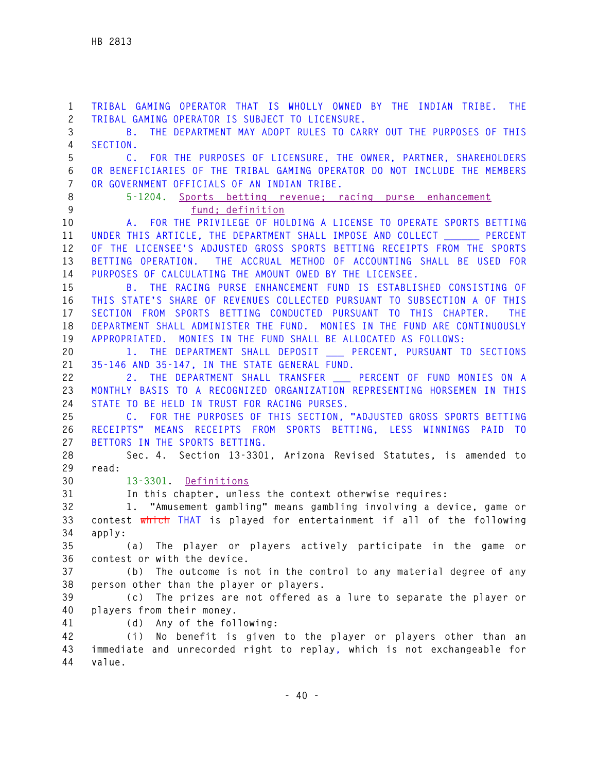**1 TRIBAL GAMING OPERATOR THAT IS WHOLLY OWNED BY THE INDIAN TRIBE. THE 2 TRIBAL GAMING OPERATOR IS SUBJECT TO LICENSURE. 3 B. THE DEPARTMENT MAY ADOPT RULES TO CARRY OUT THE PURPOSES OF THIS 4 SECTION. 5 C. FOR THE PURPOSES OF LICENSURE, THE OWNER, PARTNER, SHAREHOLDERS 6 OR BENEFICIARIES OF THE TRIBAL GAMING OPERATOR DO NOT INCLUDE THE MEMBERS 7 OR GOVERNMENT OFFICIALS OF AN INDIAN TRIBE. 8 5-1204. Sports betting revenue; racing purse enhancement 9 fund; definition 10 A. FOR THE PRIVILEGE OF HOLDING A LICENSE TO OPERATE SPORTS BETTING**  11 UNDER THIS ARTICLE, THE DEPARTMENT SHALL IMPOSE AND COLLECT **PERCENT 12 OF THE LICENSEE'S ADJUSTED GROSS SPORTS BETTING RECEIPTS FROM THE SPORTS 13 BETTING OPERATION. THE ACCRUAL METHOD OF ACCOUNTING SHALL BE USED FOR 14 PURPOSES OF CALCULATING THE AMOUNT OWED BY THE LICENSEE. 15 B. THE RACING PURSE ENHANCEMENT FUND IS ESTABLISHED CONSISTING OF 16 THIS STATE'S SHARE OF REVENUES COLLECTED PURSUANT TO SUBSECTION A OF THIS 17 SECTION FROM SPORTS BETTING CONDUCTED PURSUANT TO THIS CHAPTER. THE 18 DEPARTMENT SHALL ADMINISTER THE FUND. MONIES IN THE FUND ARE CONTINUOUSLY 19 APPROPRIATED. MONIES IN THE FUND SHALL BE ALLOCATED AS FOLLOWS: 20 1. THE DEPARTMENT SHALL DEPOSIT \_\_\_ PERCENT, PURSUANT TO SECTIONS 21 35-146 AND 35-147, IN THE STATE GENERAL FUND. 22 2. THE DEPARTMENT SHALL TRANSFER \_\_\_ PERCENT OF FUND MONIES ON A 23 MONTHLY BASIS TO A RECOGNIZED ORGANIZATION REPRESENTING HORSEMEN IN THIS 24 STATE TO BE HELD IN TRUST FOR RACING PURSES. 25 C. FOR THE PURPOSES OF THIS SECTION, "ADJUSTED GROSS SPORTS BETTING 26 RECEIPTS" MEANS RECEIPTS FROM SPORTS BETTING, LESS WINNINGS PAID TO 27 BETTORS IN THE SPORTS BETTING. 28 Sec. 4. Section 13-3301, Arizona Revised Statutes, is amended to 29 read: 30 13-3301. Definitions 31 In this chapter, unless the context otherwise requires: 32 1. "Amusement gambling" means gambling involving a device, game or 33 contest which THAT is played for entertainment if all of the following 34 apply: 35 (a) The player or players actively participate in the game or 36 contest or with the device. 37 (b) The outcome is not in the control to any material degree of any 38 person other than the player or players. 39 (c) The prizes are not offered as a lure to separate the player or 40 players from their money. 41 (d) Any of the following: 42 (i) No benefit is given to the player or players other than an 43 immediate and unrecorded right to replay, which is not exchangeable for 44 value.**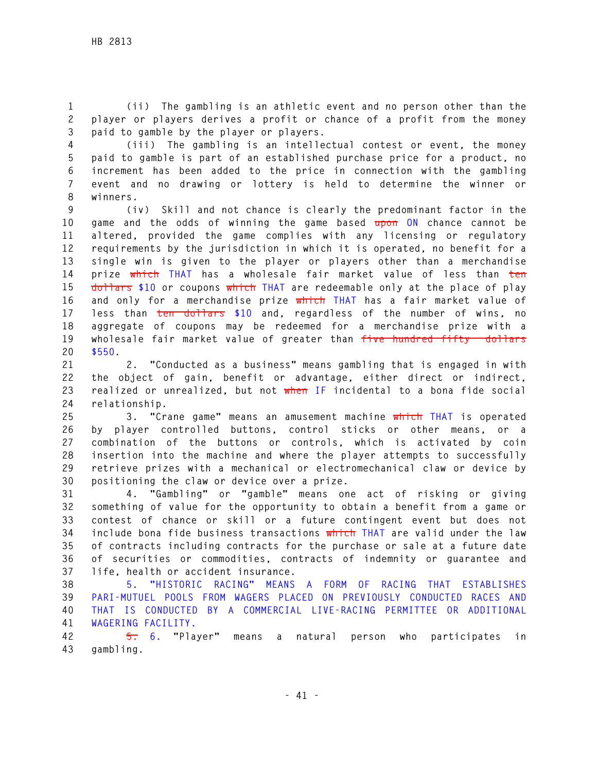**1 (ii) The gambling is an athletic event and no person other than the 2 player or players derives a profit or chance of a profit from the money 3 paid to gamble by the player or players.** 

**4 (iii) The gambling is an intellectual contest or event, the money 5 paid to gamble is part of an established purchase price for a product, no 6 increment has been added to the price in connection with the gambling 7 event and no drawing or lottery is held to determine the winner or 8 winners.** 

**9 (iv) Skill and not chance is clearly the predominant factor in the 10 game and the odds of winning the game based upon ON chance cannot be 11 altered, provided the game complies with any licensing or regulatory 12 requirements by the jurisdiction in which it is operated, no benefit for a 13 single win is given to the player or players other than a merchandise 14 prize which THAT has a wholesale fair market value of less than ten 15 dollars \$10 or coupons which THAT are redeemable only at the place of play 16 and only for a merchandise prize which THAT has a fair market value of 17 less than ten dollars \$10 and, regardless of the number of wins, no 18 aggregate of coupons may be redeemed for a merchandise prize with a 19 wholesale fair market value of greater than five hundred fifty dollars 20 \$550.** 

**21 2. "Conducted as a business" means gambling that is engaged in with 22 the object of gain, benefit or advantage, either direct or indirect, 23 realized or unrealized, but not when IF incidental to a bona fide social 24 relationship.** 

**25 3. "Crane game" means an amusement machine which THAT is operated 26 by player controlled buttons, control sticks or other means, or a 27 combination of the buttons or controls, which is activated by coin 28 insertion into the machine and where the player attempts to successfully 29 retrieve prizes with a mechanical or electromechanical claw or device by 30 positioning the claw or device over a prize.** 

**31 4. "Gambling" or "gamble" means one act of risking or giving 32 something of value for the opportunity to obtain a benefit from a game or 33 contest of chance or skill or a future contingent event but does not 34 include bona fide business transactions which THAT are valid under the law 35 of contracts including contracts for the purchase or sale at a future date 36 of securities or commodities, contracts of indemnity or guarantee and 37 life, health or accident insurance.** 

**38 5. "HISTORIC RACING" MEANS A FORM OF RACING THAT ESTABLISHES 39 PARI-MUTUEL POOLS FROM WAGERS PLACED ON PREVIOUSLY CONDUCTED RACES AND 40 THAT IS CONDUCTED BY A COMMERCIAL LIVE-RACING PERMITTEE OR ADDITIONAL 41 WAGERING FACILITY.**

**42 5. 6. "Player" means a natural person who participates in 43 gambling.**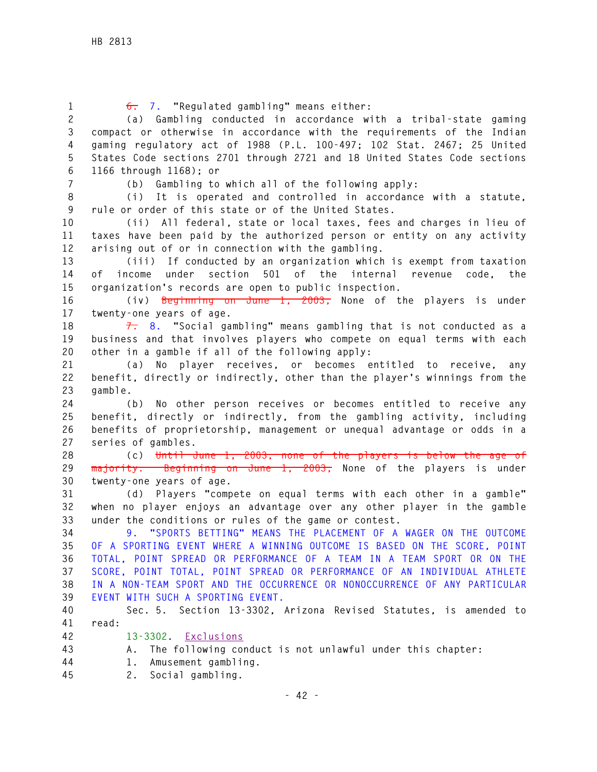| $\mathbf{1}$     | $6: 7.$ "Regulated gambling" means either:                                   |
|------------------|------------------------------------------------------------------------------|
| $\mathbf{2}$     | (a) Gambling conducted in accordance with a tribal-state gaming              |
| $\mathfrak{Z}$   | compact or otherwise in accordance with the requirements of the Indian       |
| $\overline{4}$   | gaming regulatory act of 1988 (P.L. 100-497; 102 Stat. 2467; 25 United       |
| 5                | States Code sections 2701 through 2721 and 18 United States Code sections    |
| 6                | 1166 through 1168); or                                                       |
| $\overline{7}$   | (b) Gambling to which all of the following apply:                            |
| $\, 8$           | (i) It is operated and controlled in accordance with a statute,              |
| $\boldsymbol{9}$ | rule or order of this state or of the United States.                         |
| 10               | (ii) All federal, state or local taxes, fees and charges in lieu of          |
| 11               | taxes have been paid by the authorized person or entity on any activity      |
| 12               | arising out of or in connection with the gambling.                           |
| 13               | (iii) If conducted by an organization which is exempt from taxation          |
| 14               | under section 501 of the<br>internal<br>revenue code, the<br>of _<br>income  |
| 15               | organization's records are open to public inspection.                        |
| 16               | (iv) Beginning on June 1, 2003, None of the players is under                 |
| 17               | twenty-one years of age.                                                     |
| 18               | $\overline{7}$ . "Social gambling" means gambling that is not conducted as a |
| 19               | business and that involves players who compete on equal terms with each      |
| 20               | other in a gamble if all of the following apply:                             |
| 21               | (a) No player receives, or becomes entitled to receive, any                  |
| 22               | benefit, directly or indirectly, other than the player's winnings from the   |
| 23               | gamble.                                                                      |
| 24               | No other person receives or becomes entitled to receive any<br>(b)           |
| 25               | benefit, directly or indirectly, from the gambling activity, including       |
| 26               | benefits of proprietorship, management or unequal advantage or odds in a     |
| 27               | series of gambles.                                                           |
| 28               | (c) Until June 1, 2003, none of the players is below the age of              |
| 29               | majority. Beginning on June 1, 2003, None of the players is under            |
| 30               | twenty-one years of age.                                                     |
| 31               | (d) Players "compete on equal terms with each other in a gamble"             |
| 32               | when no player enjoys an advantage over any other player in the gamble       |
| 33               | under the conditions or rules of the game or contest.                        |
| 34               | "SPORTS BETTING" MEANS THE PLACEMENT OF A WAGER ON THE OUTCOME               |
| 35               | OF A SPORTING EVENT WHERE A WINNING OUTCOME IS BASED ON THE SCORE, POINT     |
| 36               | TOTAL, POINT SPREAD OR PERFORMANCE OF A TEAM IN A TEAM SPORT OR ON THE       |
| 37               | SCORE, POINT TOTAL, POINT SPREAD OR PERFORMANCE OF AN INDIVIDUAL ATHLETE     |
| 38               | IN A NON-TEAM SPORT AND THE OCCURRENCE OR NONOCCURRENCE OF ANY PARTICULAR    |
| 39               | EVENT WITH SUCH A SPORTING EVENT.                                            |
| 40               | Sec. 5. Section 13-3302, Arizona Revised Statutes, is amended to             |
| 41               | read:                                                                        |
| 42               | $13 - 3302$ .<br>Exclusions                                                  |
| 43               | The following conduct is not unlawful under this chapter:<br>А.              |
| 44               | Amusement gambling.<br>1.                                                    |
| 45               | 2.<br>Social gambling.                                                       |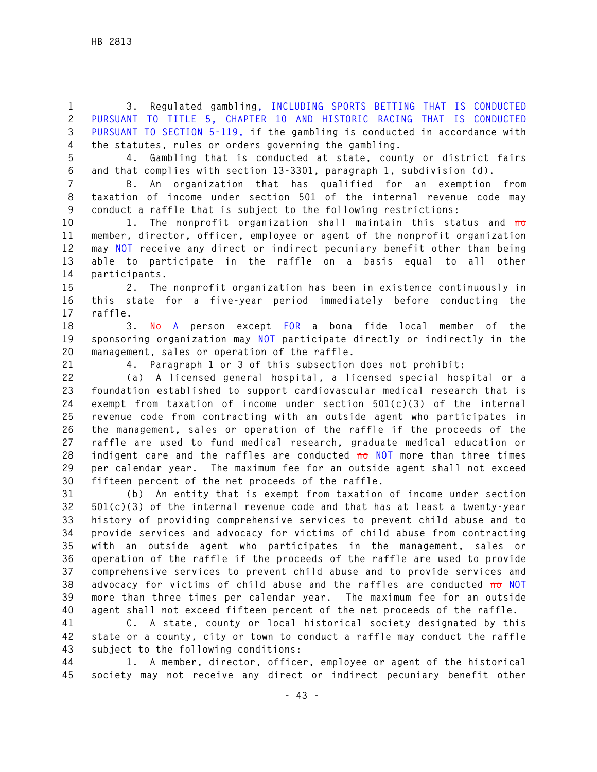**1 3. Regulated gambling, INCLUDING SPORTS BETTING THAT IS CONDUCTED 2 PURSUANT TO TITLE 5, CHAPTER 10 AND HISTORIC RACING THAT IS CONDUCTED 3 PURSUANT TO SECTION 5-119, if the gambling is conducted in accordance with 4 the statutes, rules or orders governing the gambling.** 

**5 4. Gambling that is conducted at state, county or district fairs 6 and that complies with section 13-3301, paragraph 1, subdivision (d).** 

**7 B. An organization that has qualified for an exemption from 8 taxation of income under section 501 of the internal revenue code may 9 conduct a raffle that is subject to the following restrictions:** 

**10 1. The nonprofit organization shall maintain this status and no 11 member, director, officer, employee or agent of the nonprofit organization 12 may NOT receive any direct or indirect pecuniary benefit other than being 13 able to participate in the raffle on a basis equal to all other 14 participants.** 

**15 2. The nonprofit organization has been in existence continuously in 16 this state for a five-year period immediately before conducting the 17 raffle.** 

**18 3. No A person except FOR a bona fide local member of the 19 sponsoring organization may NOT participate directly or indirectly in the 20 management, sales or operation of the raffle.** 

**21 4. Paragraph 1 or 3 of this subsection does not prohibit:** 

**22 (a) A licensed general hospital, a licensed special hospital or a 23 foundation established to support cardiovascular medical research that is 24 exempt from taxation of income under section 501(c)(3) of the internal 25 revenue code from contracting with an outside agent who participates in 26 the management, sales or operation of the raffle if the proceeds of the 27 raffle are used to fund medical research, graduate medical education or 28 indigent care and the raffles are conducted no NOT more than three times 29 per calendar year. The maximum fee for an outside agent shall not exceed 30 fifteen percent of the net proceeds of the raffle.** 

**31 (b) An entity that is exempt from taxation of income under section 32 501(c)(3) of the internal revenue code and that has at least a twenty-year 33 history of providing comprehensive services to prevent child abuse and to 34 provide services and advocacy for victims of child abuse from contracting 35 with an outside agent who participates in the management, sales or 36 operation of the raffle if the proceeds of the raffle are used to provide 37 comprehensive services to prevent child abuse and to provide services and 38 advocacy for victims of child abuse and the raffles are conducted no NOT 39 more than three times per calendar year. The maximum fee for an outside 40 agent shall not exceed fifteen percent of the net proceeds of the raffle.** 

**41 C. A state, county or local historical society designated by this 42 state or a county, city or town to conduct a raffle may conduct the raffle 43 subject to the following conditions:** 

**44 1. A member, director, officer, employee or agent of the historical 45 society may not receive any direct or indirect pecuniary benefit other**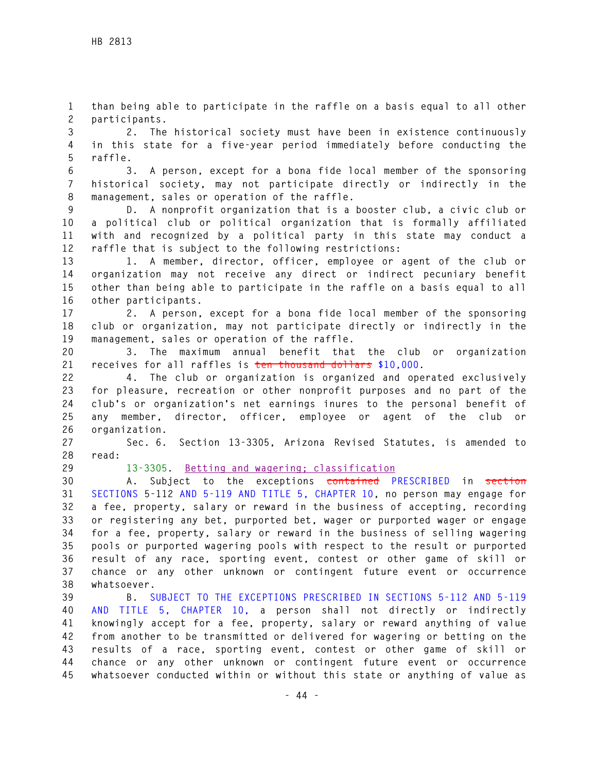**1 than being able to participate in the raffle on a basis equal to all other 2 participants.** 

**3 2. The historical society must have been in existence continuously 4 in this state for a five-year period immediately before conducting the 5 raffle.** 

**6 3. A person, except for a bona fide local member of the sponsoring 7 historical society, may not participate directly or indirectly in the 8 management, sales or operation of the raffle.** 

**9 D. A nonprofit organization that is a booster club, a civic club or 10 a political club or political organization that is formally affiliated 11 with and recognized by a political party in this state may conduct a 12 raffle that is subject to the following restrictions:** 

**13 1. A member, director, officer, employee or agent of the club or 14 organization may not receive any direct or indirect pecuniary benefit 15 other than being able to participate in the raffle on a basis equal to all 16 other participants.** 

**17 2. A person, except for a bona fide local member of the sponsoring 18 club or organization, may not participate directly or indirectly in the 19 management, sales or operation of the raffle.** 

**20 3. The maximum annual benefit that the club or organization 21 receives for all raffles is ten thousand dollars \$10,000.** 

**22 4. The club or organization is organized and operated exclusively 23 for pleasure, recreation or other nonprofit purposes and no part of the 24 club's or organization's net earnings inures to the personal benefit of 25 any member, director, officer, employee or agent of the club or 26 organization.** 

**27 Sec. 6. Section 13-3305, Arizona Revised Statutes, is amended to 28 read:** 

**29 13-3305. Betting and wagering; classification**

**30 A. Subject to the exceptions contained PRESCRIBED in section 31 SECTIONS 5-112 AND 5-119 AND TITLE 5, CHAPTER 10, no person may engage for 32 a fee, property, salary or reward in the business of accepting, recording 33 or registering any bet, purported bet, wager or purported wager or engage 34 for a fee, property, salary or reward in the business of selling wagering 35 pools or purported wagering pools with respect to the result or purported 36 result of any race, sporting event, contest or other game of skill or 37 chance or any other unknown or contingent future event or occurrence 38 whatsoever.** 

**39 B. SUBJECT TO THE EXCEPTIONS PRESCRIBED IN SECTIONS 5-112 AND 5-119 40 AND TITLE 5, CHAPTER 10, a person shall not directly or indirectly 41 knowingly accept for a fee, property, salary or reward anything of value 42 from another to be transmitted or delivered for wagering or betting on the 43 results of a race, sporting event, contest or other game of skill or 44 chance or any other unknown or contingent future event or occurrence 45 whatsoever conducted within or without this state or anything of value as**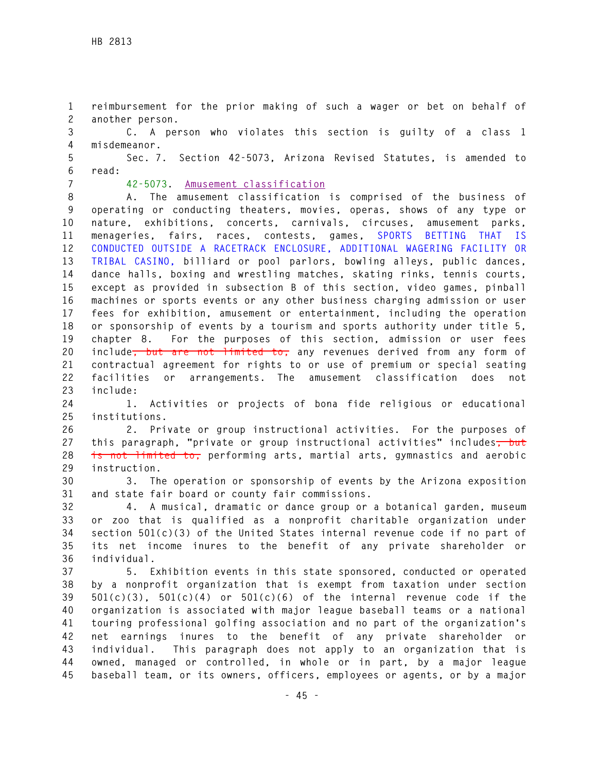**1 reimbursement for the prior making of such a wager or bet on behalf of 2 another person.** 

**3 C. A person who violates this section is guilty of a class 1 4 misdemeanor.** 

**5 Sec. 7. Section 42-5073, Arizona Revised Statutes, is amended to 6 read:** 

**7 42-5073. Amusement classification**

**8 A. The amusement classification is comprised of the business of 9 operating or conducting theaters, movies, operas, shows of any type or 10 nature, exhibitions, concerts, carnivals, circuses, amusement parks, 11 menageries, fairs, races, contests, games, SPORTS BETTING THAT IS 12 CONDUCTED OUTSIDE A RACETRACK ENCLOSURE, ADDITIONAL WAGERING FACILITY OR 13 TRIBAL CASINO, billiard or pool parlors, bowling alleys, public dances, 14 dance halls, boxing and wrestling matches, skating rinks, tennis courts, 15 except as provided in subsection B of this section, video games, pinball 16 machines or sports events or any other business charging admission or user 17 fees for exhibition, amusement or entertainment, including the operation 18 or sponsorship of events by a tourism and sports authority under title 5, 19 chapter 8. For the purposes of this section, admission or user fees 20 include, but are not limited to, any revenues derived from any form of 21 contractual agreement for rights to or use of premium or special seating 22 facilities or arrangements. The amusement classification does not 23 include:** 

**24 1. Activities or projects of bona fide religious or educational 25 institutions.** 

**26 2. Private or group instructional activities. For the purposes of**  27 this paragraph, "private or group instructional activities" includes<del>, but</del> **28 is not limited to, performing arts, martial arts, gymnastics and aerobic 29 instruction.** 

**30 3. The operation or sponsorship of events by the Arizona exposition 31 and state fair board or county fair commissions.** 

**32 4. A musical, dramatic or dance group or a botanical garden, museum 33 or zoo that is qualified as a nonprofit charitable organization under 34 section 501(c)(3) of the United States internal revenue code if no part of 35 its net income inures to the benefit of any private shareholder or 36 individual.** 

**37 5. Exhibition events in this state sponsored, conducted or operated 38 by a nonprofit organization that is exempt from taxation under section 39 501(c)(3), 501(c)(4) or 501(c)(6) of the internal revenue code if the 40 organization is associated with major league baseball teams or a national 41 touring professional golfing association and no part of the organization's 42 net earnings inures to the benefit of any private shareholder or 43 individual. This paragraph does not apply to an organization that is 44 owned, managed or controlled, in whole or in part, by a major league 45 baseball team, or its owners, officers, employees or agents, or by a major**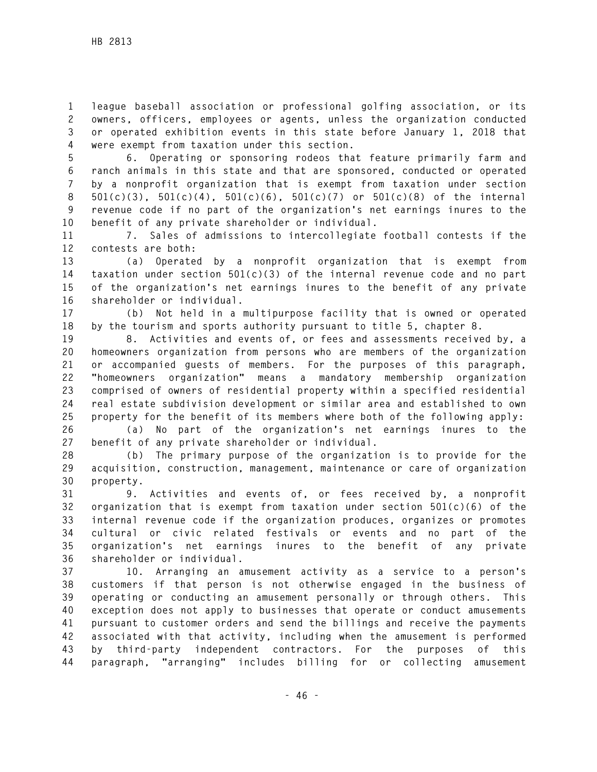**1 league baseball association or professional golfing association, or its 2 owners, officers, employees or agents, unless the organization conducted 3 or operated exhibition events in this state before January 1, 2018 that 4 were exempt from taxation under this section.** 

**5 6. Operating or sponsoring rodeos that feature primarily farm and 6 ranch animals in this state and that are sponsored, conducted or operated 7 by a nonprofit organization that is exempt from taxation under section 8 501(c)(3), 501(c)(4), 501(c)(6), 501(c)(7) or 501(c)(8) of the internal 9 revenue code if no part of the organization's net earnings inures to the 10 benefit of any private shareholder or individual.** 

**11 7. Sales of admissions to intercollegiate football contests if the 12 contests are both:** 

**13 (a) Operated by a nonprofit organization that is exempt from 14 taxation under section 501(c)(3) of the internal revenue code and no part 15 of the organization's net earnings inures to the benefit of any private 16 shareholder or individual.** 

**17 (b) Not held in a multipurpose facility that is owned or operated 18 by the tourism and sports authority pursuant to title 5, chapter 8.** 

**19 8. Activities and events of, or fees and assessments received by, a 20 homeowners organization from persons who are members of the organization 21 or accompanied guests of members. For the purposes of this paragraph, 22 "homeowners organization" means a mandatory membership organization 23 comprised of owners of residential property within a specified residential 24 real estate subdivision development or similar area and established to own 25 property for the benefit of its members where both of the following apply:** 

**26 (a) No part of the organization's net earnings inures to the 27 benefit of any private shareholder or individual.** 

**28 (b) The primary purpose of the organization is to provide for the 29 acquisition, construction, management, maintenance or care of organization 30 property.** 

**31 9. Activities and events of, or fees received by, a nonprofit 32 organization that is exempt from taxation under section 501(c)(6) of the 33 internal revenue code if the organization produces, organizes or promotes 34 cultural or civic related festivals or events and no part of the 35 organization's net earnings inures to the benefit of any private 36 shareholder or individual.** 

**37 10. Arranging an amusement activity as a service to a person's 38 customers if that person is not otherwise engaged in the business of 39 operating or conducting an amusement personally or through others. This 40 exception does not apply to businesses that operate or conduct amusements 41 pursuant to customer orders and send the billings and receive the payments 42 associated with that activity, including when the amusement is performed 43 by third-party independent contractors. For the purposes of this 44 paragraph, "arranging" includes billing for or collecting amusement**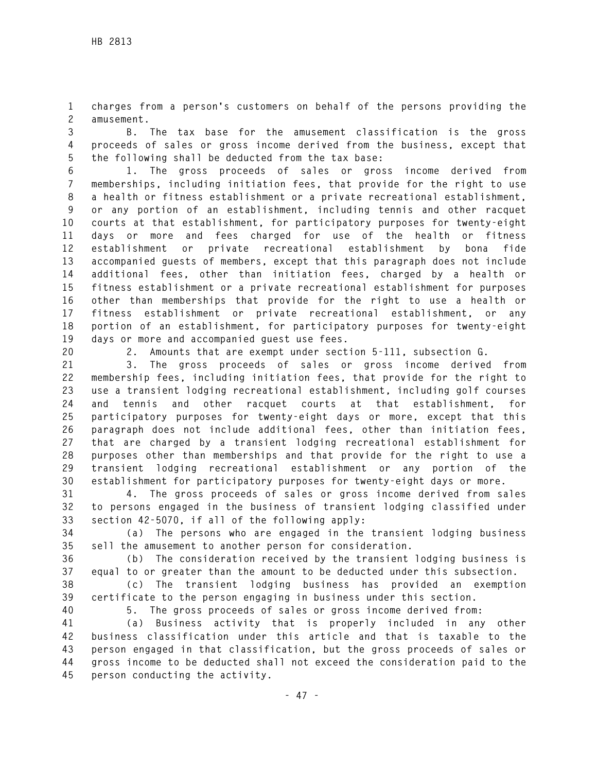**1 charges from a person's customers on behalf of the persons providing the 2 amusement.** 

**3 B. The tax base for the amusement classification is the gross 4 proceeds of sales or gross income derived from the business, except that 5 the following shall be deducted from the tax base:** 

**6 1. The gross proceeds of sales or gross income derived from 7 memberships, including initiation fees, that provide for the right to use 8 a health or fitness establishment or a private recreational establishment, 9 or any portion of an establishment, including tennis and other racquet 10 courts at that establishment, for participatory purposes for twenty-eight 11 days or more and fees charged for use of the health or fitness 12 establishment or private recreational establishment by bona fide 13 accompanied guests of members, except that this paragraph does not include 14 additional fees, other than initiation fees, charged by a health or 15 fitness establishment or a private recreational establishment for purposes 16 other than memberships that provide for the right to use a health or 17 fitness establishment or private recreational establishment, or any 18 portion of an establishment, for participatory purposes for twenty-eight 19 days or more and accompanied guest use fees.** 

**20 2. Amounts that are exempt under section 5-111, subsection G.** 

**21 3. The gross proceeds of sales or gross income derived from 22 membership fees, including initiation fees, that provide for the right to 23 use a transient lodging recreational establishment, including golf courses 24 and tennis and other racquet courts at that establishment, for 25 participatory purposes for twenty-eight days or more, except that this 26 paragraph does not include additional fees, other than initiation fees, 27 that are charged by a transient lodging recreational establishment for 28 purposes other than memberships and that provide for the right to use a 29 transient lodging recreational establishment or any portion of the 30 establishment for participatory purposes for twenty-eight days or more.** 

**31 4. The gross proceeds of sales or gross income derived from sales 32 to persons engaged in the business of transient lodging classified under 33 section 42-5070, if all of the following apply:** 

**34 (a) The persons who are engaged in the transient lodging business 35 sell the amusement to another person for consideration.** 

**36 (b) The consideration received by the transient lodging business is 37 equal to or greater than the amount to be deducted under this subsection.** 

**38 (c) The transient lodging business has provided an exemption 39 certificate to the person engaging in business under this section.** 

**40 5. The gross proceeds of sales or gross income derived from:** 

**41 (a) Business activity that is properly included in any other 42 business classification under this article and that is taxable to the 43 person engaged in that classification, but the gross proceeds of sales or 44 gross income to be deducted shall not exceed the consideration paid to the 45 person conducting the activity.**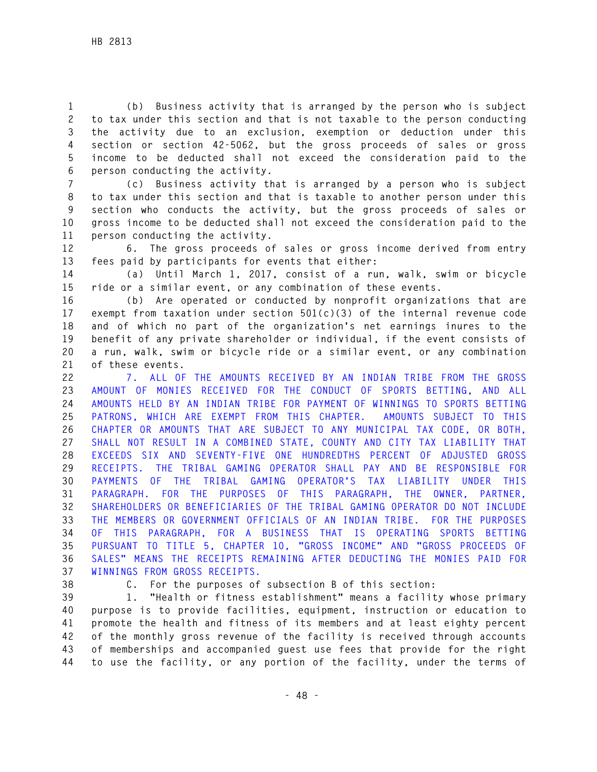**1 (b) Business activity that is arranged by the person who is subject 2 to tax under this section and that is not taxable to the person conducting 3 the activity due to an exclusion, exemption or deduction under this 4 section or section 42-5062, but the gross proceeds of sales or gross 5 income to be deducted shall not exceed the consideration paid to the 6 person conducting the activity.** 

**7 (c) Business activity that is arranged by a person who is subject 8 to tax under this section and that is taxable to another person under this 9 section who conducts the activity, but the gross proceeds of sales or 10 gross income to be deducted shall not exceed the consideration paid to the 11 person conducting the activity.** 

**12 6. The gross proceeds of sales or gross income derived from entry 13 fees paid by participants for events that either:** 

**14 (a) Until March 1, 2017, consist of a run, walk, swim or bicycle 15 ride or a similar event, or any combination of these events.** 

**16 (b) Are operated or conducted by nonprofit organizations that are 17 exempt from taxation under section 501(c)(3) of the internal revenue code 18 and of which no part of the organization's net earnings inures to the 19 benefit of any private shareholder or individual, if the event consists of 20 a run, walk, swim or bicycle ride or a similar event, or any combination 21 of these events.** 

**22 7. ALL OF THE AMOUNTS RECEIVED BY AN INDIAN TRIBE FROM THE GROSS 23 AMOUNT OF MONIES RECEIVED FOR THE CONDUCT OF SPORTS BETTING, AND ALL 24 AMOUNTS HELD BY AN INDIAN TRIBE FOR PAYMENT OF WINNINGS TO SPORTS BETTING 25 PATRONS, WHICH ARE EXEMPT FROM THIS CHAPTER. AMOUNTS SUBJECT TO THIS 26 CHAPTER OR AMOUNTS THAT ARE SUBJECT TO ANY MUNICIPAL TAX CODE, OR BOTH, 27 SHALL NOT RESULT IN A COMBINED STATE, COUNTY AND CITY TAX LIABILITY THAT 28 EXCEEDS SIX AND SEVENTY-FIVE ONE HUNDREDTHS PERCENT OF ADJUSTED GROSS 29 RECEIPTS. THE TRIBAL GAMING OPERATOR SHALL PAY AND BE RESPONSIBLE FOR 30 PAYMENTS OF THE TRIBAL GAMING OPERATOR'S TAX LIABILITY UNDER THIS 31 PARAGRAPH. FOR THE PURPOSES OF THIS PARAGRAPH, THE OWNER, PARTNER, 32 SHAREHOLDERS OR BENEFICIARIES OF THE TRIBAL GAMING OPERATOR DO NOT INCLUDE 33 THE MEMBERS OR GOVERNMENT OFFICIALS OF AN INDIAN TRIBE. FOR THE PURPOSES 34 OF THIS PARAGRAPH, FOR A BUSINESS THAT IS OPERATING SPORTS BETTING 35 PURSUANT TO TITLE 5, CHAPTER 10, "GROSS INCOME" AND "GROSS PROCEEDS OF 36 SALES" MEANS THE RECEIPTS REMAINING AFTER DEDUCTING THE MONIES PAID FOR 37 WINNINGS FROM GROSS RECEIPTS.**

**38 C. For the purposes of subsection B of this section:** 

**39 1. "Health or fitness establishment" means a facility whose primary 40 purpose is to provide facilities, equipment, instruction or education to 41 promote the health and fitness of its members and at least eighty percent 42 of the monthly gross revenue of the facility is received through accounts 43 of memberships and accompanied guest use fees that provide for the right 44 to use the facility, or any portion of the facility, under the terms of**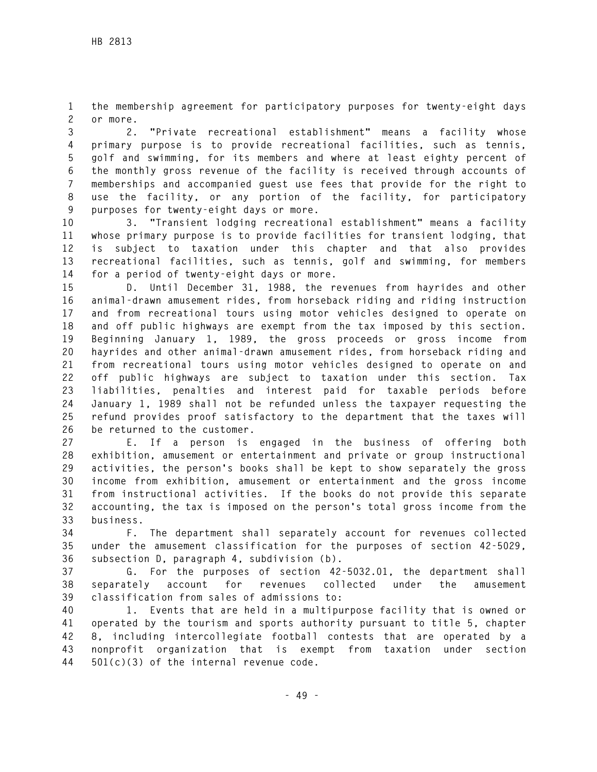**1 the membership agreement for participatory purposes for twenty-eight days 2 or more.** 

**3 2. "Private recreational establishment" means a facility whose 4 primary purpose is to provide recreational facilities, such as tennis, 5 golf and swimming, for its members and where at least eighty percent of 6 the monthly gross revenue of the facility is received through accounts of 7 memberships and accompanied guest use fees that provide for the right to 8 use the facility, or any portion of the facility, for participatory 9 purposes for twenty-eight days or more.** 

**10 3. "Transient lodging recreational establishment" means a facility 11 whose primary purpose is to provide facilities for transient lodging, that 12 is subject to taxation under this chapter and that also provides 13 recreational facilities, such as tennis, golf and swimming, for members 14 for a period of twenty-eight days or more.** 

**15 D. Until December 31, 1988, the revenues from hayrides and other 16 animal-drawn amusement rides, from horseback riding and riding instruction 17 and from recreational tours using motor vehicles designed to operate on 18 and off public highways are exempt from the tax imposed by this section. 19 Beginning January 1, 1989, the gross proceeds or gross income from 20 hayrides and other animal-drawn amusement rides, from horseback riding and 21 from recreational tours using motor vehicles designed to operate on and 22 off public highways are subject to taxation under this section. Tax 23 liabilities, penalties and interest paid for taxable periods before 24 January 1, 1989 shall not be refunded unless the taxpayer requesting the 25 refund provides proof satisfactory to the department that the taxes will 26 be returned to the customer.** 

**27 E. If a person is engaged in the business of offering both 28 exhibition, amusement or entertainment and private or group instructional 29 activities, the person's books shall be kept to show separately the gross 30 income from exhibition, amusement or entertainment and the gross income 31 from instructional activities. If the books do not provide this separate 32 accounting, the tax is imposed on the person's total gross income from the 33 business.** 

**34 F. The department shall separately account for revenues collected 35 under the amusement classification for the purposes of section 42-5029, 36 subsection D, paragraph 4, subdivision (b).** 

**37 G. For the purposes of section 42-5032.01, the department shall 38 separately account for revenues collected under the amusement 39 classification from sales of admissions to:** 

**40 1. Events that are held in a multipurpose facility that is owned or 41 operated by the tourism and sports authority pursuant to title 5, chapter 42 8, including intercollegiate football contests that are operated by a 43 nonprofit organization that is exempt from taxation under section 44 501(c)(3) of the internal revenue code.**